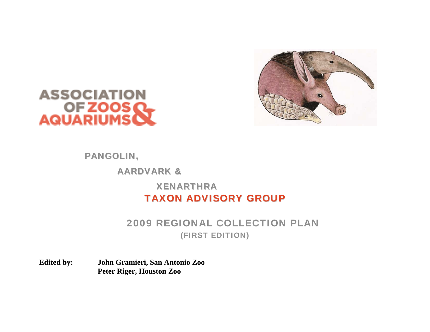



# PANGOLIN, AARDVARK &XENARTHRATAXON ADVISORY GROUP

# 2009 REGIONAL COLLECTION PLAN (FIRST EDITION)

**Edited by: John Gramieri, San Antonio Zoo Peter Riger, Houston Zoo**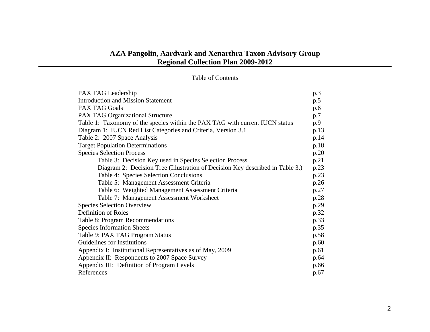# **AZA Pangolin, Aardvark and Xenarthra Taxon Advisory Group Regional Collection Plan 2009-2012**

#### Table of Contents

| PAX TAG Leadership                                                            | p.3  |
|-------------------------------------------------------------------------------|------|
| <b>Introduction and Mission Statement</b>                                     | p.5  |
| <b>PAX TAG Goals</b>                                                          | p.6  |
| <b>PAX TAG Organizational Structure</b>                                       | p.7  |
| Table 1: Taxonomy of the species within the PAX TAG with current IUCN status  | p.9  |
| Diagram 1: IUCN Red List Categories and Criteria, Version 3.1                 | p.13 |
| Table 2: 2007 Space Analysis                                                  | p.14 |
| <b>Target Population Determinations</b>                                       | p.18 |
| <b>Species Selection Process</b>                                              | p.20 |
| Table 3: Decision Key used in Species Selection Process                       | p.21 |
| Diagram 2: Decision Tree (Illustration of Decision Key described in Table 3.) | p.23 |
| Table 4: Species Selection Conclusions                                        | p.23 |
| Table 5: Management Assessment Criteria                                       | p.26 |
| Table 6: Weighted Management Assessment Criteria                              | p.27 |
| Table 7: Management Assessment Worksheet                                      | p.28 |
| <b>Species Selection Overview</b>                                             | p.29 |
| Definition of Roles                                                           | p.32 |
| Table 8: Program Recommendations                                              | p.33 |
| <b>Species Information Sheets</b>                                             | p.35 |
| Table 9: PAX TAG Program Status                                               | p.58 |
| Guidelines for Institutions                                                   | p.60 |
| Appendix I: Institutional Representatives as of May, 2009                     | p.61 |
| Appendix II: Respondents to 2007 Space Survey                                 | p.64 |
| Appendix III: Definition of Program Levels                                    | p.66 |
| References                                                                    | p.67 |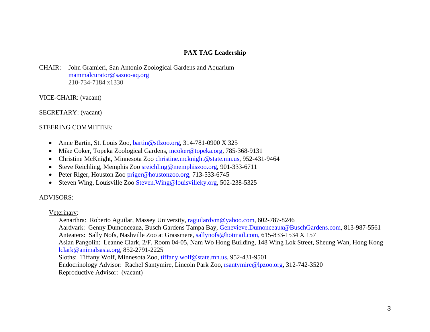#### **PAX TAG Leadership**

CHAIR: John Gramieri, San Antonio Zoological Gardens and Aquarium [mammalcurator@sazoo-aq.org](mailto:mammalcurator@sazoo-aq.org) 210-734-7184 x1330

VICE-CHAIR: (vacant)

SECRETARY: (vacant)

#### STEERING COMMITTEE:

- $\bullet$ Anne Bartin, St. Louis Zoo, [bartin@stlzoo.org](mailto:bartin@stlzoo.org), 314-781-0900 X 325
- $\bullet$ Mike Coker, Topeka Zoological Gardens, [mcoker@topeka.org](mailto:mcoker@topeka.org), 785-368-9131
- Christine McKnight, Minnesota Zoo [christine.mcknight@state.mn.us](mailto:christine.mcknight@state.mn.us), 952-431-9464
- •Steve Reichling, Memphis Zoo [sreichling@memphiszoo.org](mailto:sreichling@memphiszoo.org), 901-333-6711
- •Peter Riger, Houston Zoo [priger@houstonzoo.org](mailto:priger@houstonzoo.org), 713-533-6745
- •Steven Wing, Louisville Zoo [Steven.Wing@louisvilleky.org](mailto:Steven.Wing@louisvilleky.org), 502-238-5325

#### ADVISORS:

#### Veterinary:

Xenarthra: Roberto Aguilar, Massey University, [raguilardvm@yahoo.com](mailto:raguilardvm@yahoo.com), 602-787-8246 Aardvark: Genny Dumonceauz, Busch Gardens Tampa Bay, Genevieve.Dumonceaux@BuschGardens.com, 813-987-5561 Anteaters: Sally Nofs, Nashville Zoo at Grassmere, [sallynofs@hotmail.com](mailto:sallynofs@hotmail.com), 615-833-1534 X 157 Asian Pangolin: Leanne Clark, 2/F, Room 04-05, Nam Wo Hong Building, 148 Wing Lok Street, Sheung Wan, Hong Kong [lclark@animalsasia.org](mailto:lclark@animalsasia.org), 852-2791-2225 Sloths: Tiffany Wolf, Minnesota Zoo, [tiffany.wolf@state.mn.us](mailto:tiffany.wolf@state.mn.us), 952-431-9501 Endocrinology Advisor: Rachel Santymire, Lincoln Park Zoo, [rsantymire@lpzoo.org](mailto:rsantymire@lpzoo.org), 312-742-3520 Reproductive Advisor: (vacant)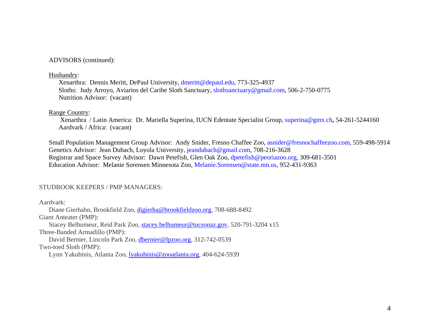ADVISORS (continued):

#### Husbandry:

Xenarthra: Dennis Meritt, DePaul University, [dmeritt@depaul.edu](mailto:dmeritt@depaul.edu), 773-325-4937 Sloths: Judy Arroyo, Aviarios del Caribe Sloth Sanctuary, [slothsanctuary@gmail.com](mailto:slothsanctuary@gmail.com), 506-2-750-0775 Nutrition Advisor: (vacant)

#### Range Country:

 Xenarthra / Latin America: Dr. Mariella Superina, IUCN Edentate Specialist Group, super[ina@gmx.ch](mailto:superina@gmx.ch)**,** 54-261-5244160 Aardvark / Africa: (vacant)

Small Population Management Group Advisor: Andy Snider, Fresno Chaffee Zoo, [asnider@fresnochaffeezoo.com](mailto:asnider@fresnochaffeezoo.com), 559-498-5914 Genetics Advisor: Jean Dubach, Loyola University, [jeandubach@gmail.com](mailto:jeandubach@gmail.com), 708-216-3628 Registrar and Space Survey Advisor: Dawn Petefish, Glen Oak Zoo, [dpetefish@peoriazoo.org](mailto:dpetefish@peoriazoo.org), 309-681-3501 Education Advisor: Melanie Sorensen Minnesota Zoo, [Melanie.Sorensen@state.mn.us](mailto:Melanie.Sorensen@state.mn.us), 952-431-9363

#### STUDBOOK KEEPERS / PMP MANAGERS:

Aardvark:

Diane Gierhahn, Brookfield Zoo, [digierha@brookfieldzoo.org](mailto:digierha@brookfieldzoo.org), 708-688-8492 Giant Anteater (PMP):

Stacey Belhumeur, Reid Park Zoo, [stacey.belhumeur@tucsonaz.gov](mailto:stacey.belhumeur@tucsonaz.gov), 520-791-3204 x15 Three-Banded Armadillo (PMP):

David Bernier, Lincoln Park Zoo, [dbernier@lpzoo.org](mailto:dbernier@lpzoo.org), 312-742-0539 Two-toed Sloth (PMP):

Lynn Yakubinis, Atlanta Zoo, lyakubinis@zooatlanta.org, 404-624-5939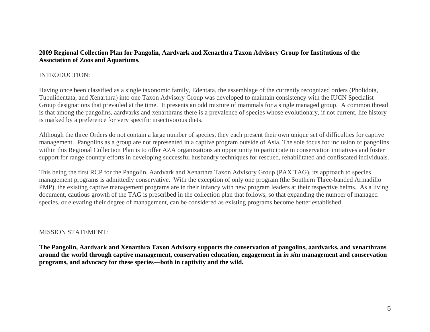#### **2009 Regional Collection Plan for Pangolin, Aardvark and Xenarthra Taxon Advisory Group for Institutions of the Association of Zoos and Aquariums***.*

#### INTRODUCTION:

Having once been classified as a single taxonomic family, Edentata, the assemblage of the currently recognized orders (Pholidota, Tubulidentata, and Xenarthra) into one Taxon Advisory Group was developed to maintain consistency with the IUCN Specialist Group designations that prevailed at the time. It presents an odd mixture of mammals for a single managed group. A common thread is that among the pangolins, aardvarks and xenarthrans there is a prevalence of species whose evolutionary, if not current, life history is marked by a preference for very specific insectivorous diets.

Although the three Orders do not contain a large number of species, they each present their own unique set of difficulties for captive management. Pangolins as a group are not represented in a captive program outside of Asia. The sole focus for inclusion of pangolins within this Regional Collection Plan is to offer AZA organizations an opportunity to participate in conservation initiatives and foster support for range country efforts in developing successful husbandry techniques for rescued, rehabilitated and confiscated individuals.

This being the first RCP for the Pangolin, Aardvark and Xenarthra Taxon Advisory Group (PAX TAG), its approach to species management programs is admittedly conservative. With the exception of only one program (the Southern Three-banded Armadillo PMP), the existing captive management programs are in their infancy with new program leaders at their respective helms. As a living document, cautious growth of the TAG is prescribed in the collection plan that follows, so that expanding the number of managed species, or elevating their degree of management, can be considered as existing programs become better established.

#### MISSION STATEMENT:

**The Pangolin, Aardvark and Xenarthra Taxon Advisory supports the conservation of pangolins, aardvarks, and xenarthrans around the world through captive management, conservation education, engagement in** *in situ* **management and conservation programs, and advocacy for these species—both in captivity and the wild.**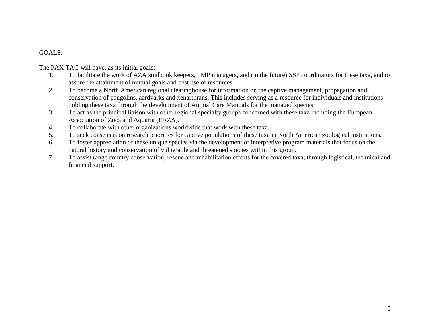### GOALS:

The PAX TAG will have, as its initial goals:

- 1. To facilitate the work of AZA studbook keepers, PMP managers, and (in the future) SSP coordinators for these taxa, and to assure the attainment of mutual goals and best use of resources.
- 2. To become a North American regional clearinghouse for information on the captive management, propagation and conservation of pangolins, aardvarks and xenarthrans. This includes serving as a resource for individuals and institutions holding these taxa through the development of Animal Care Manuals for the managed species.
- 3. To act as the principal liaison with other regional specialty groups concerned with these taxa including the European Association of Zoos and Aquaria (EAZA).
- 4.To collaborate with other organizations worldwide that work with these taxa.
- 5.To seek consensus on research priorities for captive populations of these taxa in North American zoological institutions.
- 6. To foster appreciation of these unique species via the development of interpretive program materials that focus on the natural history and conservation of vulnerable and threatened species within this group.
- 7. To assist range country conservation, rescue and rehabilitation efforts for the covered taxa, through logistical, technical and financial support.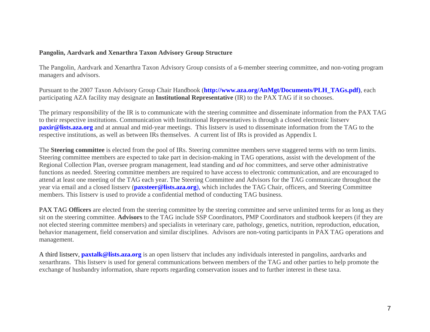#### **Pangolin, Aardvark and Xenarthra Taxon Advisory Group Structure**

The Pangolin, Aardvark and Xenarthra Taxon Advisory Group consists of a 6-member steering committee, and non-voting program managers and advisors.

Pursuant to the 2007 Taxon Advisory Group Chair Handbook (**[http://www.aza.org/AnMgt/Documents/PLH\\_TAGs.pdf](http://www.aza.org/AnMgt/Documents/PLH_TAGs.pdf))**, each participating AZA facility may designate an **Institutional Representative** (IR) to the PAX TAG if it so chooses.

The primary responsibility of the IR is to communicate with the steering committee and disseminate information from the PAX TAG to their respective institutions. Communication with Institutional Representatives is through a closed electronic listserv **pax[ir@lists.aza.org](mailto:paxir@lists.aza.org)** and at annual and mid-year meetings. This listserv is used to disseminate information from the TAG to the respective institutions, as well as between IRs themselves. A current list of IRs is provided as Appendix I.

The **Steering committee** is elected from the pool of IRs. Steering committee members serve staggered terms with no term limits. Steering committee members are expected to take part in decision-making in TAG operations, assist with the development of the Regional Collection Plan, oversee program management, lead standing and *ad hoc* committees, and serve other administrative functions as needed. Steering committee members are required to have access to electronic communication, and are encouraged to attend at least one meeting of the TAG each year. The Steering Committee and Advisors for the TAG communicate throughout the year via email and a closed listserv (**[paxsteer@lists.aza.org](mailto:paxsteer@lists.aza.org)**), which includes the TAG Chair, officers, and Steering Committee members. This listserv is used to provide a confidential method of conducting TAG business.

PAX TAG **Officers** are elected from the steering committee by the steering committee and serve unlimited terms for as long as they sit on the steering committee. **Advisors** to the TAG include SSP Coordinators, PMP Coordinators and studbook keepers (if they are not elected steering committee members) and specialists in veterinary care, pathology, genetics, nutrition, reproduction, education, behavior management, field conservation and similar disciplines. Advisors are non-voting participants in PAX TAG operations and management.

A third listserv, **[paxtalk@lists.aza.org](mailto:paxtalk@lists.aza.org)** is an open listserv that includes any individuals interested in pangolins, aardvarks and xenarthrans. This listserv is used for general communications between members of the TAG and other parties to help promote the exchange of husbandry information, share reports regarding conservation issues and to further interest in these taxa.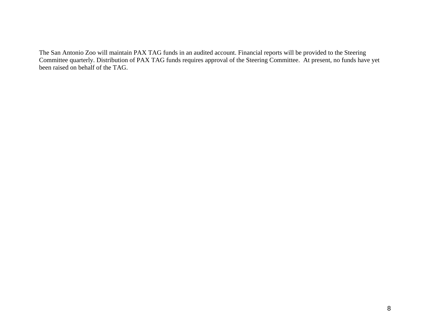The San Antonio Zoo will maintain PAX TAG funds in an audited account. Financial reports will be provided to the Steering Committee quarterly. Distribution of PAX TAG funds requires approval of the Steering Committee. At present, no funds have yet been raised on behalf of the TAG.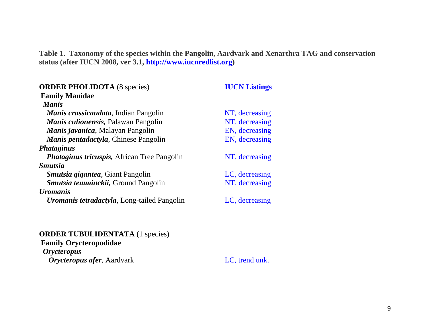**Table 1. Taxonomy of the species within the Pangolin, Aardvark and Xenarthra TAG and conservation status (after IUCN 2008, ver 3.1, [http://www.iucnredlist.org](http://www.iucnredlist.org/))** 

| <b>ORDER PHOLIDOTA</b> (8 species)                  | <b>IUCN Listings</b> |
|-----------------------------------------------------|----------------------|
| <b>Family Manidae</b>                               |                      |
| <b>Manis</b>                                        |                      |
| Manis crassicaudata, Indian Pangolin                | NT, decreasing       |
| <i>Manis culionensis</i> , Palawan Pangolin         | NT, decreasing       |
| <i>Manis javanica</i> , Malayan Pangolin            | EN, decreasing       |
| <i>Manis pentadactyla, Chinese Pangolin</i>         | EN, decreasing       |
| <i>Phataginus</i>                                   |                      |
| <i>Phataginus tricuspis, African Tree Pangolin</i>  | NT, decreasing       |
| <i><b>Smutsia</b></i>                               |                      |
| <i><b>Smutsia gigantea, Giant Pangolin</b></i>      | LC, decreasing       |
| Smutsia temminckii, Ground Pangolin                 | NT, decreasing       |
| <i><b>Uromanis</b></i>                              |                      |
| <i>Uromanis tetradactyla</i> , Long-tailed Pangolin | LC, decreasing       |

# **[ORDER TUBULIDENTATA](http://nmnhgoph.si.edu/cgi-bin/wdb/msw/names/query/15034)** (1 species) **[Family Orycteropodidae](http://nmnhgoph.si.edu/cgi-bin/wdb/msw/names/query/15035)**

*[Orycteropus](http://nmnhgoph.si.edu/cgi-bin/wdb/msw/names/query/15036)* **[Orycteropus afer](http://nmnhgoph.si.edu/cgi-bin/wdb/msw/names/query/15037)**, Aardvark LC, trend unk.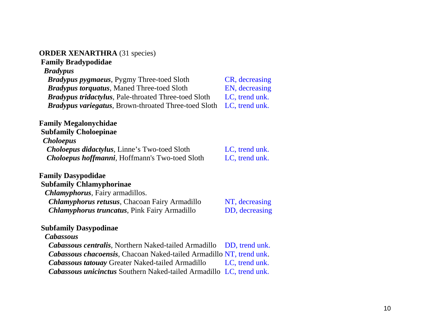#### **[ORDER XENARTHRA](http://nmnhgoph.si.edu/cgi-bin/wdb/msw/names/query/2001)** (31 species)

# **[Family Bradypodidae](http://nmnhgoph.si.edu/cgi-bin/wdb/msw/names/query/2002)**

# *[Bradypus](http://nmnhgoph.si.edu/cgi-bin/wdb/msw/names/query/2003)*

*Bradypus pygmaeus*, Pygmy Three-toed Sloth CR, decreasing *[Bradypus torquatus](http://nmnhgoph.si.edu/cgi-bin/wdb/msw/names/query/2004)*, Maned Three-toed Sloth EN, decreasing *[Bradypus tridactylus](http://nmnhgoph.si.edu/cgi-bin/wdb/msw/names/query/2005)*, Pale-throated Three-toed Sloth LC, trend unk. *[Bradypus variegatus](http://nmnhgoph.si.edu/cgi-bin/wdb/msw/names/query/2006)*, Brown-throated Three-toed Sloth LC, trend unk.

## **[Family Megalonychidae](http://nmnhgoph.si.edu/cgi-bin/wdb/msw/names/query/2038)**

**[Subfamily Choloepinae](http://nmnhgoph.si.edu/cgi-bin/wdb/msw/names/query/2040)** *[Choloepus](http://nmnhgoph.si.edu/cgi-bin/wdb/msw/names/query/2041) [Choloepus didactylus](http://nmnhgoph.si.edu/cgi-bin/wdb/msw/names/query/2042)*, Linne's Two-toed Sloth LC, trend unk. *[Choloepus hoffmanni](http://nmnhgoph.si.edu/cgi-bin/wdb/msw/names/query/2043)*, Hoffmann's Two-toed Sloth LC, trend unk.

#### **[Family Dasypodidae](http://nmnhgoph.si.edu/cgi-bin/wdb/msw/names/query/2007) [Subfamily Chlamyphorinae](http://nmnhgoph.si.edu/cgi-bin/wdb/msw/names/query/2008)**

*[Chlamyphorus](http://nmnhgoph.si.edu/cgi-bin/wdb/msw/names/query/2009)*, Fairy armadillos. *[Chlamyphorus retusus](http://nmnhgoph.si.edu/cgi-bin/wdb/msw/names/query/2010)*, Chacoan Fairy Armadillo NT, decreasing **[Chlamyphorus truncatus](http://nmnhgoph.si.edu/cgi-bin/wdb/msw/names/query/2011)**, Pink Fairy Armadillo DD, decreasing

## **[Subfamily Dasypodinae](http://nmnhgoph.si.edu/cgi-bin/wdb/msw/names/query/2012)**

## *[Cabassous](http://nmnhgoph.si.edu/cgi-bin/wdb/msw/names/query/2013)*

*[Cabassous centralis](http://nmnhgoph.si.edu/cgi-bin/wdb/msw/names/query/2014)*, Northern Naked-tailed Armadillo DD, trend unk. *[Cabassous chacoensis](http://nmnhgoph.si.edu/cgi-bin/wdb/msw/names/query/2015)*, Chacoan Naked-tailed Armadillo NT, trend unk. *[Cabassous tatouay](http://nmnhgoph.si.edu/cgi-bin/wdb/msw/names/query/2016)* Greater Naked-tailed Armadillo LC, trend unk. *[Cabassous unicinctus](http://nmnhgoph.si.edu/cgi-bin/wdb/msw/names/query/2017)* Southern Naked-tailed Armadillo LC, trend unk.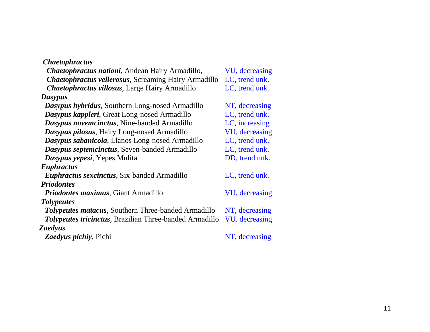| <i><b>Chaetophractus</b></i>                                   |                |
|----------------------------------------------------------------|----------------|
| Chaetophractus nationi, Andean Hairy Armadillo,                | VU, decreasing |
| <b>Chaetophractus vellerosus, Screaming Hairy Armadillo</b>    | LC, trend unk. |
| <b>Chaetophractus villosus, Large Hairy Armadillo</b>          | LC, trend unk. |
| Dasypus                                                        |                |
| Dasypus hybridus, Southern Long-nosed Armadillo                | NT, decreasing |
| Dasypus kappleri, Great Long-nosed Armadillo                   | LC, trend unk. |
| Dasypus novemcinctus, Nine-banded Armadillo                    | LC, increasing |
| Dasypus pilosus, Hairy Long-nosed Armadillo                    | VU, decreasing |
| <b>Dasypus sabanicola, Llanos Long-nosed Armadillo</b>         | LC, trend unk. |
| Dasypus septemcinctus, Seven-banded Armadillo                  | LC, trend unk. |
| Dasypus yepesi, Yepes Mulita                                   | DD, trend unk. |
| Euphractus                                                     |                |
| <i>Euphractus sexcinctus, Six-banded Armadillo</i>             | LC, trend unk. |
| <b>Priodontes</b>                                              |                |
| <i>Priodontes maximus</i> , Giant Armadillo                    | VU, decreasing |
| <b>Tolypeutes</b>                                              |                |
| <b>Tolypeutes matacus, Southern Three-banded Armadillo</b>     | NT, decreasing |
| <b>Tolypeutes tricinctus, Brazilian Three-banded Armadillo</b> | VU. decreasing |
| Zaedyus                                                        |                |
| <b>Zaedyus pichiy</b> , Pichi                                  | NT, decreasing |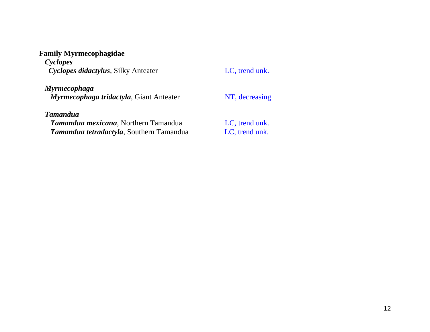# **[Family Myrmecophagidae](http://nmnhgoph.si.edu/cgi-bin/wdb/msw/names/query/2044)**

*[Cyclopes](http://nmnhgoph.si.edu/cgi-bin/wdb/msw/names/query/2045) [Cyclopes didactylus](http://nmnhgoph.si.edu/cgi-bin/wdb/msw/names/query/2046)*, Silky Anteater LC, trend unk.

*[Myrmecophaga](http://nmnhgoph.si.edu/cgi-bin/wdb/msw/names/query/2047) [Myrmecophaga tridactyla](http://nmnhgoph.si.edu/cgi-bin/wdb/msw/names/query/2048)*, Giant Anteater NT, decreasing

#### *[Tamandua](http://nmnhgoph.si.edu/cgi-bin/wdb/msw/names/query/2049)*

**[Tamandua mexicana](http://nmnhgoph.si.edu/cgi-bin/wdb/msw/names/query/2050)**, Northern Tamandua **LC**, trend unk. **Tamandua tetradactyla**, Southern Tamandua LC, trend unk.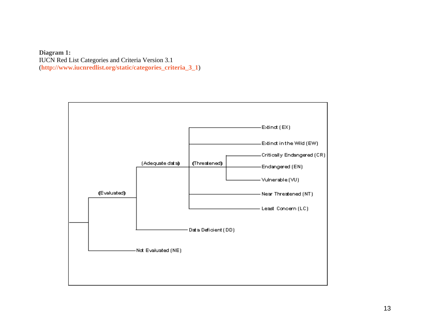**Diagram 1:**  IUCN Red List Categories and Criteria Version 3.1 (**[http://www.iucnredlist.org/static/categories\\_criteria\\_3\\_1](http://www.iucnredlist.org/static/categories_criteria_3_1)**)

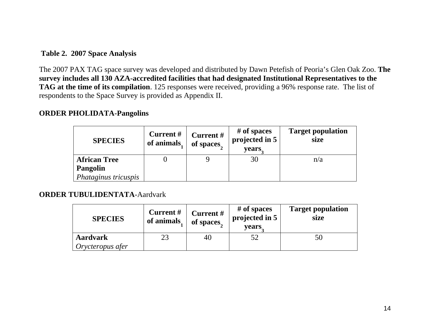## **Table 2. 2007 Space Analysis**

The 2007 PAX TAG space survey was developed and distributed by Dawn Petefish of Peoria's Glen Oak Zoo. **The survey includes all 130 AZA-accredited facilities that had designated Institutional Representatives to the TAG at the time of its compilation**. 125 responses were received, providing a 96% response rate. The list of respondents to the Space Survey is provided as Appendix II.

# **ORDER PHOLIDATA-Pangolins**

| <b>SPECIES</b>       | <b>Current</b> #<br>of animals | Current#<br>of spaces | # of spaces<br>projected in 5<br>years. | <b>Target population</b><br>size |
|----------------------|--------------------------------|-----------------------|-----------------------------------------|----------------------------------|
| <b>African Tree</b>  |                                |                       | 30                                      | n/a                              |
| Pangolin             |                                |                       |                                         |                                  |
| Phataginus tricuspis |                                |                       |                                         |                                  |

# **[ORDER TUBULIDENTATA](http://nmnhgoph.si.edu/cgi-bin/wdb/msw/names/query/15034)**-Aardvark

| <b>SPECIES</b>                      | Current#<br>of animals | Current#<br>of spaces | # of spaces<br>projected in 5<br>years. | <b>Target population</b><br>size |
|-------------------------------------|------------------------|-----------------------|-----------------------------------------|----------------------------------|
| <b>Aardvark</b><br>Orycteropus afer | 23                     | 40                    | 52                                      | 50                               |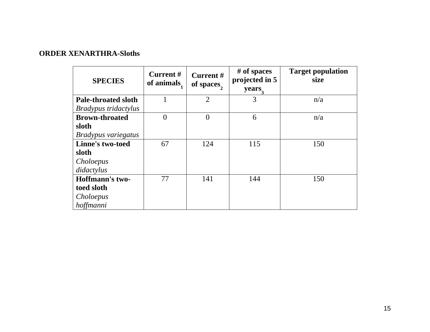# **ORDER XENARTHRA-Sloths**

| <b>SPECIES</b>             | Current#<br>of animals. | Current#<br>of spaces, | # of spaces<br>projected in 5<br>years, | <b>Target population</b><br>size |
|----------------------------|-------------------------|------------------------|-----------------------------------------|----------------------------------|
| <b>Pale-throated sloth</b> | 1                       | 2                      | 3                                       | n/a                              |
| Bradypus tridactylus       |                         |                        |                                         |                                  |
| <b>Brown-throated</b>      | $\overline{0}$          | $\theta$               | 6                                       | n/a                              |
| sloth                      |                         |                        |                                         |                                  |
| Bradypus variegatus        |                         |                        |                                         |                                  |
| <b>Linne's two-toed</b>    | 67                      | 124                    | 115                                     | 150                              |
| sloth                      |                         |                        |                                         |                                  |
| Choloepus                  |                         |                        |                                         |                                  |
| didactylus                 |                         |                        |                                         |                                  |
| Hoffmann's two-            | 77                      | 141                    | 144                                     | 150                              |
| toed sloth                 |                         |                        |                                         |                                  |
| Choloepus                  |                         |                        |                                         |                                  |
| hoffmanni                  |                         |                        |                                         |                                  |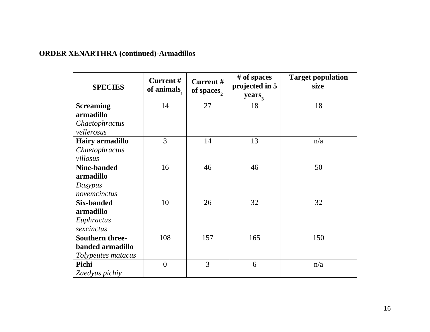# **ORDER XENARTHRA (continued)-Armadillos**

| <b>SPECIES</b>                                                   | <b>Current #</b><br>of animals $\frac{1}{1}$ | Current#<br>of spaces, | # of spaces<br>projected in 5<br>years, | <b>Target population</b><br>size |
|------------------------------------------------------------------|----------------------------------------------|------------------------|-----------------------------------------|----------------------------------|
| <b>Screaming</b><br>armadillo                                    | 14                                           | 27                     | 18                                      | 18                               |
| Chaetophractus<br>vellerosus                                     |                                              |                        |                                         |                                  |
| <b>Hairy armadillo</b><br>Chaetophractus<br>villosus             | 3                                            | 14                     | 13                                      | n/a                              |
| Nine-banded<br>armadillo<br>Dasypus<br>novemcinctus              | 16                                           | 46                     | 46                                      | 50                               |
| Six-banded<br>armadillo<br>Euphractus<br>sexcinctus              | 10                                           | 26                     | 32                                      | 32                               |
| <b>Southern three-</b><br>banded armadillo<br>Tolypeutes matacus | 108                                          | 157                    | 165                                     | 150                              |
| Pichi<br>Zaedyus pichiy                                          | $\overline{0}$                               | $\overline{3}$         | 6                                       | n/a                              |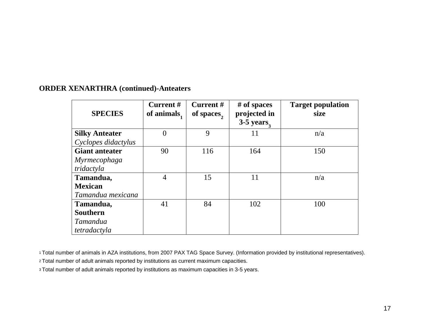# **ORDER XENARTHRA (continued)-Anteaters**

| <b>SPECIES</b>        | <b>Current#</b><br>of animals. | Current #<br>of spaces, | # of spaces<br>projected in<br>$3-5$ years, | <b>Target population</b><br>size |
|-----------------------|--------------------------------|-------------------------|---------------------------------------------|----------------------------------|
| <b>Silky Anteater</b> | $\overline{0}$                 | 9                       | 11                                          | n/a                              |
| Cyclopes didactylus   |                                |                         |                                             |                                  |
| <b>Giant anteater</b> | 90                             | 116                     | 164                                         | 150                              |
| Myrmecophaga          |                                |                         |                                             |                                  |
| tridactyla            |                                |                         |                                             |                                  |
| Tamandua,             | $\overline{4}$                 | 15                      | 11                                          | n/a                              |
| <b>Mexican</b>        |                                |                         |                                             |                                  |
| Tamandua mexicana     |                                |                         |                                             |                                  |
| Tamandua,             | 41                             | 84                      | 102                                         | 100                              |
| <b>Southern</b>       |                                |                         |                                             |                                  |
| Tamandua              |                                |                         |                                             |                                  |
| tetradactyla          |                                |                         |                                             |                                  |

1 Total number of animals in AZA institutions, from 2007 PAX TAG Space Survey. (Information provided by institutional representatives).

2 Total number of adult animals reported by institutions as current maximum capacities.

3 Total number of adult animals reported by institutions as maximum capacities in 3-5 years.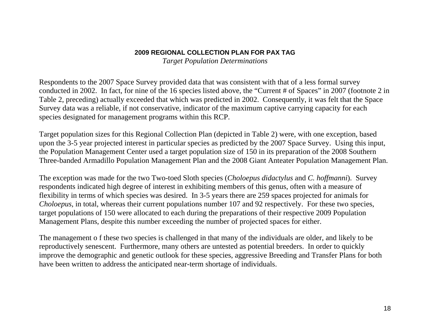### **2009 REGIONAL COLLECTION PLAN FOR PAX TAG***Target Population Determinations*

Respondents to the 2007 Space Survey provided data that was consistent with that of a less formal survey conducted in 2002. In fact, for nine of the 16 species listed above, the "Current # of Spaces" in 2007 (footnote 2 in Table 2, preceding) actually exceeded that which was predicted in 2002. Consequently, it was felt that the Space Survey data was a reliable, if not conservative, indicator of the maximum captive carrying capacity for each species designated for management programs within this RCP.

Target population sizes for this Regional Collection Plan (depicted in Table 2) were, with one exception, based upon the 3-5 year projected interest in particular species as predicted by the 2007 Space Survey. Using this input, the Population Management Center used a target population size of 150 in its preparation of the 2008 Southern Three-banded Armadillo Population Management Plan and the 2008 Giant Anteater Population Management Plan.

The exception was made for the two Two-toed Sloth species (*Choloepus didactylus* and *C. hoffmanni*). Survey respondents indicated high degree of interest in exhibiting members of this genus, often with a measure of flexibility in terms of which species was desired. In 3-5 years there are 259 spaces projected for animals for *Choloepus*, in total, whereas their current populations number 107 and 92 respectively. For these two species, target populations of 150 were allocated to each during the preparations of their respective 2009 Population Management Plans, despite this number exceeding the number of projected spaces for either.

The management o f these two species is challenged in that many of the individuals are older, and likely to be reproductively senescent. Furthermore, many others are untested as potential breeders. In order to quickly improve the demographic and genetic outlook for these species, aggressive Breeding and Transfer Plans for both have been written to address the anticipated near-term shortage of individuals.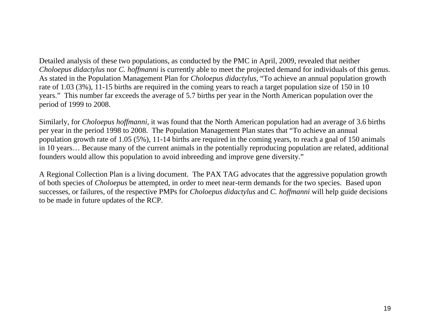Detailed analysis of these two populations, as conducted by the PMC in April, 2009, revealed that neither *Choloepus didactylus* nor *C. hoffmanni* is currently able to meet the projected demand for individuals of this genus. As stated in the Population Management Plan for *Choloepus didactylus,* "To achieve an annual population growth rate of 1.03 (3%), 11-15 births are required in the coming years to reach a target population size of 150 in 10 years." This number far exceeds the average of 5.7 births per year in the North American population over the period of 1999 to 2008.

Similarly, for *Choloepus hoffmanni*, it was found that the North American population had an average of 3.6 births per year in the period 1998 to 2008. The Population Management Plan states that "To achieve an annual population growth rate of 1.05 (5%), 11-14 births are required in the coming years, to reach a goal of 150 animals in 10 years… Because many of the current animals in the potentially reproducing population are related, additional founders would allow this population to avoid inbreeding and improve gene diversity."

A Regional Collection Plan is a living document. The PAX TAG advocates that the aggressive population growth of both species of *Choloepus* be attempted, in order to meet near-term demands for the two species. Based upon successes, or failures, of the respective PMPs for *Choloepus didactylus* and *C. hoffmanni* will help guide decisions to be made in future updates of the RCP.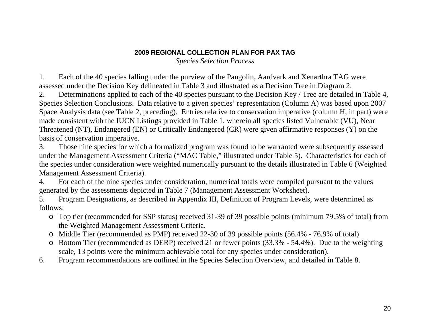*Species Selection Process* 

1. Each of the 40 species falling under the purview of the Pangolin, Aardvark and Xenarthra TAG were assessed under the Decision Key delineated in Table 3 and illustrated as a Decision Tree in Diagram 2.

2. Determinations applied to each of the 40 species pursuant to the Decision Key / Tree are detailed in Table 4, Species Selection Conclusions. Data relative to a given species' representation (Column A) was based upon 2007 Space Analysis data (see Table 2, preceding). Entries relative to conservation imperative (column H, in part) were made consistent with the IUCN Listings provided in Table 1, wherein all species listed Vulnerable (VU), Near Threatened (NT), Endangered (EN) or Critically Endangered (CR) were given affirmative responses (Y) on the basis of conservation imperative.

3. Those nine species for which a formalized program was found to be warranted were subsequently assessed under the Management Assessment Criteria ("MAC Table," illustrated under Table 5). Characteristics for each of the species under consideration were weighted numerically pursuant to the details illustrated in Table 6 (Weighted Management Assessment Criteria).

4. For each of the nine species under consideration, numerical totals were compiled pursuant to the values generated by the assessments depicted in Table 7 (Management Assessment Worksheet).

5. Program Designations, as described in Appendix III, Definition of Program Levels, were determined as follows:

- o Top tier (recommended for SSP status) received 31-39 of 39 possible points (minimum 79.5% of total) from the Weighted Management Assessment Criteria.
- o Middle Tier (recommended as PMP) received 22-30 of 39 possible points (56.4% 76.9% of total)
- o Bottom Tier (recommended as DERP) received 21 or fewer points (33.3% 54.4%). Due to the weighting scale, 13 points were the minimum achievable total for any species under consideration).
- 6. Program recommendations are outlined in the Species Selection Overview, and detailed in Table 8.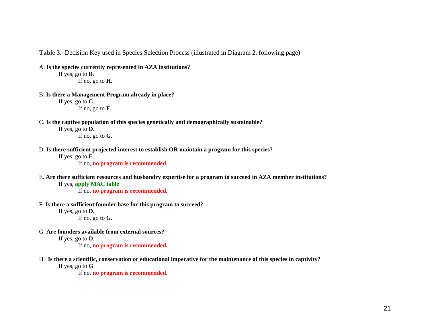**Table 3.** Decision Key used in Species Selection Process (illustrated in Diagram 2, following page)

A. **Is the species currently represented in AZA institutions?**

If yes, go to **B**. If no, go to **H**.

B. **Is there a Management Program already in place?** If yes, go to **C**.

If no, go to **F**.

C. **Is the captive population of this species genetically and demographically sustainable?** 

If yes, go to **D**. If no, go to **G**.

- D. **Is there sufficient projected interest to establish OR maintain a program for this species?**
	- If yes, go to **E**.

If no, **no program is recommended**.

E. **Are there sufficient resources and husbandry expertise for a program to succeed in AZA member institutions?** 

#### If yes, **apply MAC table**

If no, **no program is recommended.**

F. **Is there a sufficient founder base for this program to succeed?**

```
If yes, go to D. 
If no, go to G.
```
G. **Are founders available from external sources?**

If yes, go to **D**.

If no, **no program is recommended.**

H. **Is there a scientific, conservation or educational imperative for the maintenance of this species in captivity?**

If yes, go to **G**.

If no, **no program is recommended**.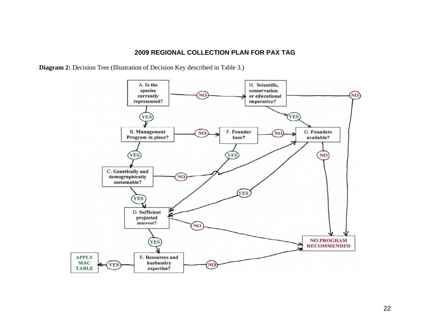**Diagram 2:** Decision Tree (Illustration of Decision Key described in Table 3.)

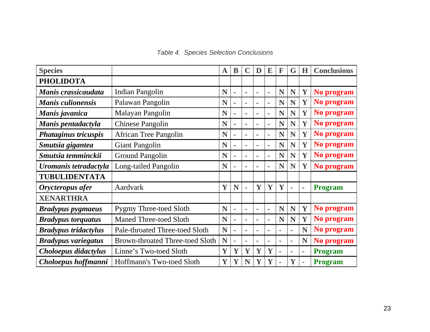| <b>Species</b>              |                                        | $\mathbf A$ | B              |                | D              | E              | F              | G              | H              | <b>Conclusions</b> |
|-----------------------------|----------------------------------------|-------------|----------------|----------------|----------------|----------------|----------------|----------------|----------------|--------------------|
| <b>PHOLIDOTA</b>            |                                        |             |                |                |                |                |                |                |                |                    |
| Manis crassicaudata         | <b>Indian Pangolin</b>                 | N           | $\blacksquare$ | ۰              | ٠              | $\blacksquare$ | N              | N              | Y              | No program         |
| <b>Manis culionensis</b>    | Palawan Pangolin                       | N           | $\blacksquare$ | ٠              | $\blacksquare$ | $\blacksquare$ | N              | N              | Y              | No program         |
| Manis javanica              | Malayan Pangolin                       | N           | $\blacksquare$ | $\blacksquare$ | ٠              | ۰              | N              | N              | Y              | No program         |
| Manis pentadactyla          | <b>Chinese Pangolin</b>                | N           | $\blacksquare$ | $\blacksquare$ | $\blacksquare$ | $\blacksquare$ | N              | N              | Y              | No program         |
| <b>Phataginus tricuspis</b> | African Tree Pangolin                  | N           | $\blacksquare$ | $\blacksquare$ | $\blacksquare$ | $\blacksquare$ | N              | N              | Y              | No program         |
| Smutsia gigantea            | <b>Giant Pangolin</b>                  | N           | $\blacksquare$ | $\blacksquare$ | -              | $\blacksquare$ | N              | N              | Y              | No program         |
| Smutsia temminckii          | <b>Ground Pangolin</b>                 | N           | $\blacksquare$ | $\blacksquare$ | ۰              | $\blacksquare$ | N              | N              | Y              | No program         |
| Uromanis tetradactyla       | Long-tailed Pangolin                   | N           | $\sim$         | $\blacksquare$ | -              | $\blacksquare$ | N              | N              | Y              | No program         |
| <b>TUBULIDENTATA</b>        |                                        |             |                |                |                |                |                |                |                |                    |
| Orycteropus afer            | Aardvark                               | Y           | N              | $\blacksquare$ | Y              | Y              | Y              | $\blacksquare$ | $\blacksquare$ | <b>Program</b>     |
| <b>XENARTHRA</b>            |                                        |             |                |                |                |                |                |                |                |                    |
| <b>Bradypus pygmaeus</b>    | <b>Pygmy Three-toed Sloth</b>          | N           | $\blacksquare$ | ä,             | ۰              | ä,             | N              | N              | Y              | No program         |
| <b>Bradypus torquatus</b>   | <b>Maned Three-toed Sloth</b>          | N           | $\blacksquare$ | $\blacksquare$ | $\blacksquare$ | $\blacksquare$ | N              | N              | Y              | No program         |
| <b>Bradypus tridactylus</b> | Pale-throated Three-toed Sloth         | N           | $\blacksquare$ | ۰              | $\blacksquare$ | $\blacksquare$ | ٠              | $\blacksquare$ | N              | No program         |
| <b>Bradypus variegatus</b>  | <b>Brown-throated Three-toed Sloth</b> | N           | $\blacksquare$ | $\blacksquare$ | ٠              | $\blacksquare$ | $\blacksquare$ | $\blacksquare$ | N              | No program         |
| Choloepus didactylus        | Linne's Two-toed Sloth                 | Y           | Y              | Y              | Y              | Y              | ۰              | $\sim$         | ٠              | <b>Program</b>     |
| Choloepus hoffmanni         | Hoffmann's Two-toed Sloth              | Y           | Y              | N              | Y              | Y              |                | Y              | $\blacksquare$ | <b>Program</b>     |

*Table 4. Species Selection Conclusions*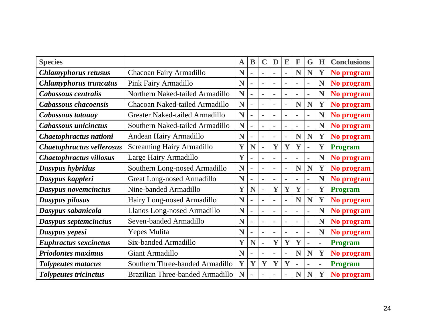| <b>Species</b>                 |                                   | $\mathbf A$ | B              | C              | D              | E              | F              | G              | H  | <b>Conclusions</b> |
|--------------------------------|-----------------------------------|-------------|----------------|----------------|----------------|----------------|----------------|----------------|----|--------------------|
| <b>Chlamyphorus retusus</b>    | Chacoan Fairy Armadillo           | N           |                | $\blacksquare$ |                |                | N              | N              | Y  | No program         |
| <b>Chlamyphorus truncatus</b>  | Pink Fairy Armadillo              | N           | $\sim$         | ä,             | Ē.             | ä,             |                |                | N  | No program         |
| Cabassous centralis            | Northern Naked-tailed Armadillo   | N           | $\sim$         | $\bar{a}$      | $\blacksquare$ | $\blacksquare$ | $\blacksquare$ | ۰              | N  | No program         |
| Cabassous chacoensis           | Chacoan Naked-tailed Armadillo    | N           | $\sim$         | $\bar{a}$      | L,             | ä,             | N              | N              | Y  | No program         |
| Cabassous tatouay              | Greater Naked-tailed Armadillo    | N           | $\blacksquare$ | $\bar{a}$      | $\blacksquare$ | $\blacksquare$ |                | ۰              | N  | No program         |
| Cabassous unicinctus           | Southern Naked-tailed Armadillo   | N           | $\blacksquare$ | $\sim$         | $\blacksquare$ | $\blacksquare$ |                | ۰              | N  | No program         |
| Chaetophractus nationi         | Andean Hairy Armadillo            | N           | $\blacksquare$ | $\sim$         | ۰              | $\blacksquare$ | N              | N              | Y  | No program         |
| Chaetophractus vellerosus      | <b>Screaming Hairy Armadillo</b>  | Y           | N              | ä,             | Y              | Y              | Y              | $\blacksquare$ | Y  | <b>Program</b>     |
| <b>Chaetophractus villosus</b> | Large Hairy Armadillo             |             | ۰              | $\sim$         | $\blacksquare$ | ۰              | $\blacksquare$ | ä,             | N  | No program         |
| Dasypus hybridus               | Southern Long-nosed Armadillo     | N           | $\blacksquare$ | $\sim$         | $\blacksquare$ | ä,             | N              | N              | Y  | No program         |
| Dasypus kappleri               | <b>Great Long-nosed Armadillo</b> | N           | $\blacksquare$ | $\bar{a}$      | ۰              | Ē,             | ٠              | ä,             | N  | No program         |
| Dasypus novemcinctus           | Nine-banded Armadillo             | Y           | N              | ä,             | Y              | Y              | Y              | ٠              | Y  | <b>Program</b>     |
| Dasypus pilosus                | Hairy Long-nosed Armadillo        | N           | $\blacksquare$ | $\blacksquare$ | $\blacksquare$ | ä,             | N              | N              | Y  | No program         |
| Dasypus sabanicola             | Llanos Long-nosed Armadillo       | N           | $\blacksquare$ | $\sim$         |                |                |                |                | N  | No program         |
| Dasypus septemcinctus          | Seven-banded Armadillo            | N           | $\blacksquare$ | ä,             | L,             | ä,             | ÷              | ä,             | N  | No program         |
| Dasypus yepesi                 | Yepes Mulita                      | N           | $\blacksquare$ | $\blacksquare$ | $\blacksquare$ |                |                | ٠              | N  | No program         |
| <b>Euphractus sexcinctus</b>   | Six-banded Armadillo              | Y           | N              | ä,             | Y              | Y              | Y              | ä,             | ä, | <b>Program</b>     |
| <b>Priodontes maximus</b>      | Giant Armadillo                   | N           | ۰              | $\blacksquare$ | ۰              | ۰              | N              | N              | Y  | No program         |
| <b>Tolypeutes matacus</b>      | Southern Three-banded Armadillo   | Y           | Y              | Y              | Y              | Y              |                | $\blacksquare$ | ÷, | <b>Program</b>     |
| <b>Tolypeutes tricinctus</b>   | Brazilian Three-banded Armadillo  | N           |                | $\blacksquare$ |                |                | N              | N              | Y  | No program         |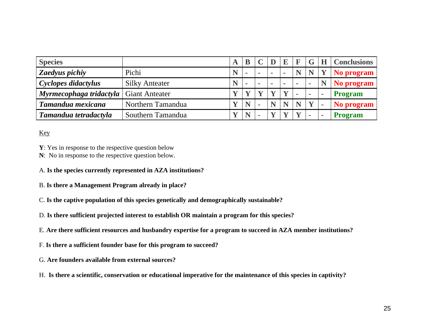| <b>Species</b>                                  |                       |   |                |    |              |            |        | G              | <b>Conclusions</b> |
|-------------------------------------------------|-----------------------|---|----------------|----|--------------|------------|--------|----------------|--------------------|
| Zaedyus pichiy                                  | Pichi                 | N | $\blacksquare$ | ۰. | $\mathbf{r}$ | $\sim$     | N      |                | No program         |
| Cyclopes didactylus                             | <b>Silky Anteater</b> | N | $\blacksquare$ | ۰. | <b>COL</b>   | <b>COL</b> | $\sim$ | ۰              | No program         |
| <b>Myrmecophaga tridactyla</b>   Giant Anteater |                       |   |                |    |              |            |        | $\blacksquare$ | <b>Program</b>     |
| Tamandua mexicana                               | Northern Tamandua     |   | N              |    |              |            |        | $\mathbf{V}$   | No program         |
| Tamandua tetradactyla                           | Southern Tamandua     |   | N              |    |              |            |        |                | Program            |

Key

**Y**: Yes in response to the respective question below

- **N**: No in response to the respective question below.
- A. **Is the species currently represented in AZA institutions?**
- B. **Is there a Management Program already in place?**
- C. **Is the captive population of this species genetically and demographically sustainable?**
- D. **Is there sufficient projected interest to establish OR maintain a program for this species?**
- E. **Are there sufficient resources and husbandry expertise for a program to succeed in AZA member institutions?**
- F. **Is there a sufficient founder base for this program to succeed?**
- G. **Are founders available from external sources?**
- H. **Is there a scientific, conservation or educational imperative for the maintenance of this species in captivity?**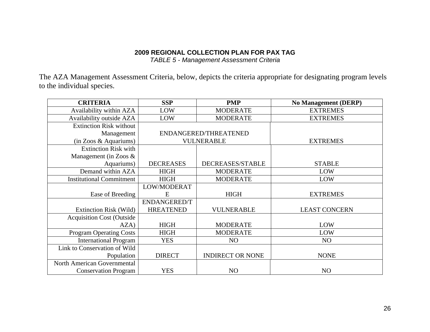*TABLE 5 - Management Assessment Criteria* 

The AZA Management Assessment Criteria, below, depicts the criteria appropriate for designating program levels to the individual species.

| <b>CRITERIA</b>                   | <b>SSP</b>          | <b>PMP</b>              | <b>No Management (DERP)</b> |
|-----------------------------------|---------------------|-------------------------|-----------------------------|
| Availability within AZA           | LOW                 | <b>MODERATE</b>         | <b>EXTREMES</b>             |
| Availability outside AZA          | LOW                 | <b>MODERATE</b>         | <b>EXTREMES</b>             |
| <b>Extinction Risk without</b>    |                     |                         |                             |
| Management                        |                     | ENDANGERED/THREATENED   |                             |
| (in Zoos & Aquariums)             |                     | <b>VULNERABLE</b>       | <b>EXTREMES</b>             |
| <b>Extinction Risk with</b>       |                     |                         |                             |
| Management (in Zoos $\&$          |                     |                         |                             |
| Aquariums)                        | <b>DECREASES</b>    | DECREASES/STABLE        | <b>STABLE</b>               |
| Demand within AZA                 | <b>HIGH</b>         | <b>MODERATE</b>         | LOW                         |
| <b>Institutional Commitment</b>   | <b>HIGH</b>         | <b>MODERATE</b>         | LOW                         |
|                                   | LOW/MODERAT         |                         |                             |
| Ease of Breeding                  | E                   | <b>HIGH</b>             | <b>EXTREMES</b>             |
|                                   | <b>ENDANGERED/T</b> |                         |                             |
| Extinction Risk (Wild)            | <b>HREATENED</b>    | <b>VULNERABLE</b>       | <b>LEAST CONCERN</b>        |
| <b>Acquisition Cost (Outside)</b> |                     |                         |                             |
| AZA)                              | <b>HIGH</b>         | <b>MODERATE</b>         | LOW                         |
| <b>Program Operating Costs</b>    | <b>HIGH</b>         | <b>MODERATE</b>         | LOW                         |
| <b>International Program</b>      | <b>YES</b>          | N <sub>O</sub>          | N <sub>O</sub>              |
| Link to Conservation of Wild      |                     |                         |                             |
| Population                        | <b>DIRECT</b>       | <b>INDIRECT OR NONE</b> | <b>NONE</b>                 |
| North American Governmental       |                     |                         |                             |
| <b>Conservation Program</b>       | <b>YES</b>          | NO                      | NO                          |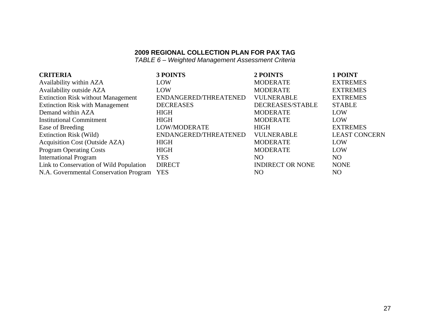*TABLE 6 – Weighted Management Assessment Criteria* 

| <b>CRITERIA</b>                            | 3 POINTS              | 2 POINTS                | 1 POINT              |
|--------------------------------------------|-----------------------|-------------------------|----------------------|
| Availability within AZA                    | LOW                   | <b>MODERATE</b>         | <b>EXTREMES</b>      |
| Availability outside AZA                   | LOW                   | <b>MODERATE</b>         | <b>EXTREMES</b>      |
| <b>Extinction Risk without Management</b>  | ENDANGERED/THREATENED | <b>VULNERABLE</b>       | <b>EXTREMES</b>      |
| <b>Extinction Risk with Management</b>     | <b>DECREASES</b>      | DECREASES/STABLE        | <b>STABLE</b>        |
| Demand within AZA                          | <b>HIGH</b>           | <b>MODERATE</b>         | LOW                  |
| <b>Institutional Commitment</b>            | <b>HIGH</b>           | <b>MODERATE</b>         | LOW                  |
| Ease of Breeding                           | LOW/MODERATE          | HIGH                    | <b>EXTREMES</b>      |
| Extinction Risk (Wild)                     | ENDANGERED/THREATENED | <b>VULNERABLE</b>       | <b>LEAST CONCERN</b> |
| Acquisition Cost (Outside AZA)             | <b>HIGH</b>           | <b>MODERATE</b>         | LOW                  |
| <b>Program Operating Costs</b>             | <b>HIGH</b>           | <b>MODERATE</b>         | LOW                  |
| <b>International Program</b>               | <b>YES</b>            | NO.                     | N <sub>O</sub>       |
| Link to Conservation of Wild Population    | <b>DIRECT</b>         | <b>INDIRECT OR NONE</b> | <b>NONE</b>          |
| N.A. Governmental Conservation Program YES |                       | NO                      | NO                   |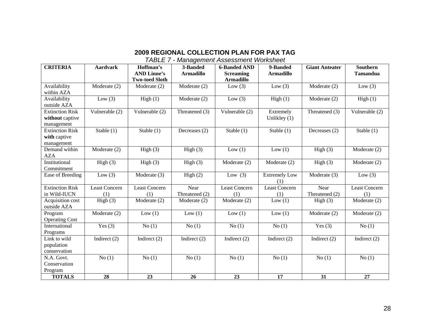*TABLE 7 - Management Assessment Worksheet*

| <b>CRITERIA</b>        | <b>Aardvark</b>      | Hoffman's<br><b>AND Linne's</b> | 3-Banded<br><b>Armadillo</b> | <b>6-Banded AND</b><br><b>Screaming</b> | 9-Banded<br><b>Armadillo</b> | <b>Giant Anteater</b> | <b>Southern</b><br><b>Tamandua</b> |
|------------------------|----------------------|---------------------------------|------------------------------|-----------------------------------------|------------------------------|-----------------------|------------------------------------|
|                        |                      | <b>Two-toed Sloth</b>           |                              | <b>Armadillo</b>                        |                              |                       |                                    |
| Availability           | Moderate (2)         | Moderate (2)                    | Moderate (2)                 | Low $(3)$                               | Low $(3)$                    | Moderate (2)          | Low $(3)$                          |
| within AZA             |                      |                                 |                              |                                         |                              |                       |                                    |
| Availability           | Low $(3)$            | High(1)                         | Moderate (2)                 | Low $(3)$                               | High(1)                      | Moderate (2)          | High(1)                            |
| outside AZA            |                      |                                 |                              |                                         |                              |                       |                                    |
| <b>Extinction Risk</b> | Vulnerable (2)       | Vulnerable (2)                  | Threatened (3)               | Vulnerable (2)                          | Extremely                    | Threatened (3)        | Vulnerable (2)                     |
| without captive        |                      |                                 |                              |                                         | Unlikley $(1)$               |                       |                                    |
| management             |                      |                                 |                              |                                         |                              |                       |                                    |
| <b>Extinction Risk</b> | Stable $(1)$         | Stable (1)                      | Decreases (2)                | Stable (1)                              | Stable $(1)$                 | Decreases (2)         | Stable $(1)$                       |
| with captive           |                      |                                 |                              |                                         |                              |                       |                                    |
| management             |                      |                                 |                              |                                         |                              |                       |                                    |
| Demand within          | Moderate (2)         | High(3)                         | High(3)                      | Low(1)                                  | Low(1)                       | High(3)               | Moderate (2)                       |
| <b>AZA</b>             |                      |                                 |                              |                                         |                              |                       |                                    |
| Institutional          | High(3)              | High(3)                         | High(3)                      | Moderate (2)                            | Moderate (2)                 | High(3)               | Moderate (2)                       |
| Commitment             |                      |                                 |                              |                                         |                              |                       |                                    |
| Ease of Breeding       | Low $(3)$            | Moderate (3)                    | High(2)                      | Low $(3)$                               | <b>Extremely Low</b><br>(1)  | Moderate (3)          | Low $(3)$                          |
| <b>Extinction Risk</b> | <b>Least Concern</b> | Least Concern                   | Near                         | Least Concern                           | <b>Least Concern</b>         | Near                  | Least Concern                      |
| in Wild-IUCN           | (1)                  | (1)                             | Threatened (2)               | (1)                                     | (1)                          | Threatened (2)        | (1)                                |
| Acquisition cost       | High(3)              | Moderate (2)                    | Moderate (2)                 | Moderate (2)                            | Low $(1)$                    | High $(3)$            | Moderate (2)                       |
| outside AZA            |                      |                                 |                              |                                         |                              |                       |                                    |
| Program                | Moderate (2)         | Low $(1)$                       | Low $(1)$                    | Low(1)                                  | Low $(1)$                    | Moderate (2)          | Moderate (2)                       |
| <b>Operating Cost</b>  |                      |                                 |                              |                                         |                              |                       |                                    |
| International          | Yes $(3)$            | No(1)                           | No(1)                        | No(1)                                   | No(1)                        | Yes $(3)$             | No(1)                              |
| Programs               |                      |                                 |                              |                                         |                              |                       |                                    |
| Link to wild           | Indirect $(2)$       | Indirect $(2)$                  | Indirect $(2)$               | Indirect $(2)$                          | Indirect $(2)$               | Indirect $(2)$        | Indirect $(2)$                     |
| population             |                      |                                 |                              |                                         |                              |                       |                                    |
| conservation           |                      |                                 |                              |                                         |                              |                       |                                    |
| N.A. Govt.             | No(1)                | No(1)                           | No(1)                        | No(1)                                   | No(1)                        | No(1)                 | No(1)                              |
| Conservation           |                      |                                 |                              |                                         |                              |                       |                                    |
| Program                |                      |                                 |                              |                                         |                              |                       |                                    |
| <b>TOTALS</b>          | 28                   | 23                              | 26                           | 23                                      | $\overline{17}$              | 31                    | 27                                 |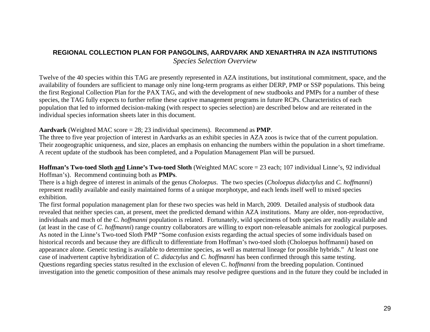#### **REGIONAL COLLECTION PLAN FOR PANGOLINS, AARDVARK AND XENARTHRA IN AZA INSTITUTIONS**

*Species Selection Overview*

Twelve of the 40 species within this TAG are presently represented in AZA institutions, but institutional commitment, space, and the availability of founders are sufficient to manage only nine long-term programs as either DERP, PMP or SSP populations. This being the first Regional Collection Plan for the PAX TAG, and with the development of new studbooks and PMPs for a number of these species, the TAG fully expects to further refine these captive management programs in future RCPs. Characteristics of each population that led to informed decision-making (with respect to species selection) are described below and are reiterated in the individual species information sheets later in this document.

#### **Aardvark** (Weighted MAC score = 28; 23 individual specimens). Recommend as **PMP**.

The three to five year projection of interest in Aardvarks as an exhibit species in AZA zoos is twice that of the current population. Their zoogeographic uniqueness, and size, places an emphasis on enhancing the numbers within the population in a short timeframe. A recent update of the studbook has been completed, and a Population Management Plan will be pursued.

**Hoffman's Two-toed Sloth and Linne's Two-toed Sloth** (Weighted MAC score = 23 each; 107 individual Linne's, 92 individual Hoffman's). Recommend continuing both as **PMPs**.

There is a high degree of interest in animals of the genus *Choloepus*. The two species (*Choloepus didactylus* and *C. hoffmanni*) represent readily available and easily maintained forms of a unique morphotype, and each lends itself well to mixed species exhibition.

The first formal population management plan for these two species was held in March, 2009. Detailed analysis of studbook data revealed that neither species can, at present, meet the predicted demand within AZA institutions. Many are older, non-reproductive, individuals and much of the *C. hoffmanni* population is related. Fortunately, wild specimens of both species are readily available and (at least in the case of *C. hoffmanni*) range country collaborators are willing to export non-releasable animals for zoological purposes. As noted in the Linne's Two-toed Sloth PMP "Some confusion exists regarding the actual species of some individuals based on historical records and because they are difficult to differentiate from Hoffman's two-toed sloth (Choloepus hoffmanni) based on appearance alone. Genetic testing is available to determine species, as well as maternal lineage for possible hybrids." At least one case of inadvertent captive hybridization of *C. didactylus* and *C. hoffmanni* has been confirmed through this same testing. Questions regarding species status resulted in the exclusion of eleven C. *hoffmanni* from the breeding population. Continued investigation into the genetic composition of these animals may resolve pedigree questions and in the future they could be included in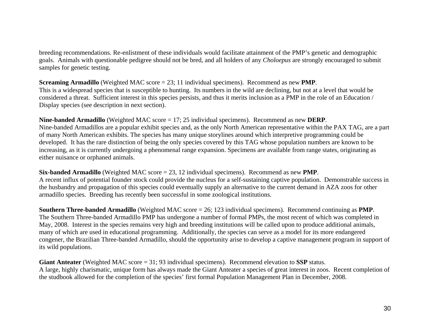breeding recommendations. Re-enlistment of these individuals would facilitate attainment of the PMP's genetic and demographic goals. Animals with questionable pedigree should not be bred, and all holders of any *Choloepus* are strongly encouraged to submit samples for genetic testing.

**Screaming Armadillo** (Weighted MAC score = 23; 11 individual specimens). Recommend as new **PMP**. This is a widespread species that is susceptible to hunting. Its numbers in the wild are declining, but not at a level that would be considered a threat. Sufficient interest in this species persists, and thus it merits inclusion as a PMP in the role of an Education / Display species (see description in next section).

**Nine-banded Armadillo** (Weighted MAC score = 17; 25 individual specimens). Recommend as new **DERP**. Nine-banded Armadillos are a popular exhibit species and, as the only North American representative within the PAX TAG, are a part of many North American exhibits. The species has many unique storylines around which interpretive programming could be developed. It has the rare distinction of being the only species covered by this TAG whose population numbers are known to be increasing, as it is currently undergoing a phenomenal range expansion. Specimens are available from range states, originating as either nuisance or orphaned animals.

**Six-banded Armadillo** (Weighted MAC score = 23, 12 individual specimens). Recommend as new **PMP**. A recent influx of potential founder stock could provide the nucleus for a self-sustaining captive population. Demonstrable success in the husbandry and propagation of this species could eventually supply an alternative to the current demand in AZA zoos for other armadillo species. Breeding has recently been successful in some zoological institutions.

**Southern Three-banded Armadillo** (Weighted MAC score = 26; 123 individual specimens). Recommend continuing as **PMP**. The Southern Three-banded Armadillo PMP has undergone a number of formal PMPs, the most recent of which was completed in May, 2008. Interest in the species remains very high and breeding institutions will be called upon to produce additional animals, many of which are used in educational programming. Additionally, the species can serve as a model for its more endangered congener, the Brazilian Three-banded Armadillo, should the opportunity arise to develop a captive management program in support of its wild populations.

**Giant Anteater** (Weighted MAC score = 31; 93 individual specimens). Recommend elevation to **SSP** status. A large, highly charismatic, unique form has always made the Giant Anteater a species of great interest in zoos. Recent completion of the studbook allowed for the completion of the species' first formal Population Management Plan in December, 2008.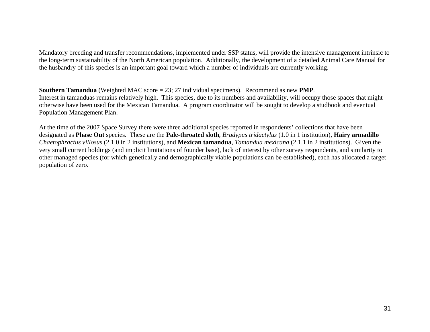Mandatory breeding and transfer recommendations, implemented under SSP status, will provide the intensive management intrinsic to the long-term sustainability of the North American population. Additionally, the development of a detailed Animal Care Manual for the husbandry of this species is an important goal toward which a number of individuals are currently working.

**Southern Tamandua** (Weighted MAC score = 23; 27 individual specimens). Recommend as new **PMP**. Interest in tamanduas remains relatively high. This species, due to its numbers and availability, will occupy those spaces that might otherwise have been used for the Mexican Tamandua. A program coordinator will be sought to develop a studbook and eventual Population Management Plan.

At the time of the 2007 Space Survey there were three additional species reported in respondents' collections that have been designated as **Phase Out** species. These are the **Pale-throated sloth**, *Bradypus tridactylus* (1.0 in 1 institution), **Hairy armadillo** *Chaetophractus villosus* (2.1.0 in 2 institutions), and **Mexican tamandua**, *Tamandua mexicana* (2.1.1 in 2 institutions). Given the very small current holdings (and implicit limitations of founder base), lack of interest by other survey respondents, and similarity to other managed species (for which genetically and demographically viable populations can be established), each has allocated a target population of zero.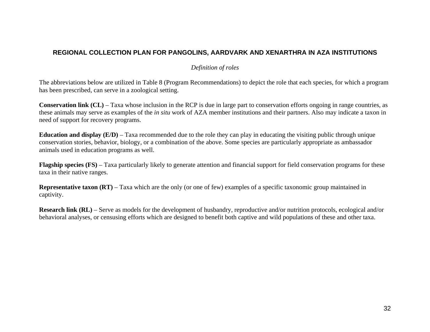## **REGIONAL COLLECTION PLAN FOR PANGOLINS, AARDVARK AND XENARTHRA IN AZA INSTITUTIONS**

#### *Definition of roles*

The abbreviations below are utilized in Table 8 (Program Recommendations) to depict the role that each species, for which a program has been prescribed, can serve in a zoological setting.

**Conservation link (CL)** – Taxa whose inclusion in the RCP is due in large part to conservation efforts ongoing in range countries, as these animals may serve as examples of the *in situ* work of AZA member institutions and their partners. Also may indicate a taxon in need of support for recovery programs.

**Education and display (E/D)** – Taxa recommended due to the role they can play in educating the visiting public through unique conservation stories, behavior, biology, or a combination of the above. Some species are particularly appropriate as ambassador animals used in education programs as well.

**Flagship species (FS)** – Taxa particularly likely to generate attention and financial support for field conservation programs for these taxa in their native ranges.

**Representative taxon (RT)** – Taxa which are the only (or one of few) examples of a specific taxonomic group maintained in captivity.

**Research link (RL)** – Serve as models for the development of husbandry, reproductive and/or nutrition protocols, ecological and/or behavioral analyses, or censusing efforts which are designed to benefit both captive and wild populations of these and other taxa.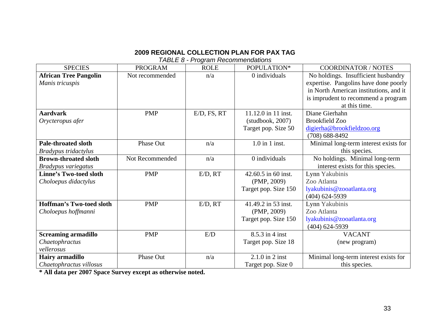*TABLE 8 - Program Recommendations* 

| <b>SPECIES</b>                  | <b>PROGRAM</b>   | <b>ROLE</b> | POPULATION*          | <b>COORDINATOR / NOTES</b>             |
|---------------------------------|------------------|-------------|----------------------|----------------------------------------|
| <b>African Tree Pangolin</b>    | Not recommended  | n/a         | 0 individuals        | No holdings. Insufficient husbandry    |
| Manis tricuspis                 |                  |             |                      | expertise. Pangolins have done poorly  |
|                                 |                  |             |                      | in North American institutions, and it |
|                                 |                  |             |                      | is imprudent to recommend a program    |
|                                 |                  |             |                      | at this time.                          |
| <b>Aardvark</b>                 | <b>PMP</b>       | E/D, FS, RT | 11.12.0 in 11 inst.  | Diane Gierhahn                         |
| Orycteropus afer                |                  |             | (studbook, 2007)     | <b>Brookfield Zoo</b>                  |
|                                 |                  |             | Target pop. Size 50  | digierha@brookfieldzoo.org             |
|                                 |                  |             |                      | $(708)$ 688-8492                       |
| <b>Pale-throated sloth</b>      | Phase Out        | n/a         | $1.0$ in 1 inst.     | Minimal long-term interest exists for  |
| Bradypus tridactylus            |                  |             |                      | this species.                          |
| <b>Brown-throated sloth</b>     | Not Recommended  | n/a         | 0 individuals        | No holdings. Minimal long-term         |
| Bradypus variegatus             |                  |             |                      | interest exists for this species.      |
| <b>Linne's Two-toed sloth</b>   | <b>PMP</b>       | E/D, RT     | 42.60.5 in 60 inst.  | Lynn Yakubinis                         |
| Choloepus didactylus            |                  |             | (PMP, 2009)          | Zoo Atlanta                            |
|                                 |                  |             | Target pop. Size 150 | lyakubinis@zooatlanta.org              |
|                                 |                  |             |                      | $(404)$ 624-5939                       |
| <b>Hoffman's Two-toed sloth</b> | <b>PMP</b>       | E/D, RT     | 41.49.2 in 53 inst.  | Lynn Yakubinis                         |
| Choloepus hoffmanni             |                  |             | (PMP, 2009)          | Zoo Atlanta                            |
|                                 |                  |             | Target pop. Size 150 | lyakubinis@zooatlanta.org              |
|                                 |                  |             |                      | $(404)$ 624-5939                       |
| <b>Screaming armadillo</b>      | <b>PMP</b>       | E/D         | $8.5.3$ in 4 inst    | <b>VACANT</b>                          |
| Chaetophractus                  |                  |             | Target pop. Size 18  | (new program)                          |
| vellerosus                      |                  |             |                      |                                        |
| <b>Hairy armadillo</b>          | <b>Phase Out</b> | n/a         | $2.1.0$ in $2$ inst  | Minimal long-term interest exists for  |
| Chaetophractus villosus         |                  |             | Target pop. Size 0   | this species.                          |

**\* All data per 2007 Space Survey except as otherwise noted.**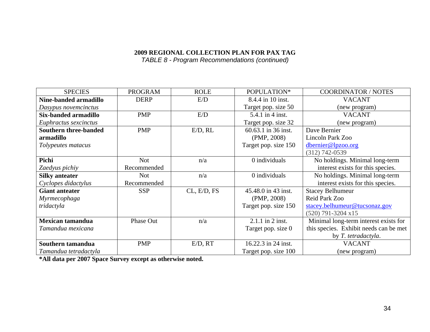*TABLE 8 - Program Recommendations (continued)* 

| <b>SPECIES</b>               | <b>PROGRAM</b> | <b>ROLE</b> | POPULATION*          | <b>COORDINATOR / NOTES</b>             |
|------------------------------|----------------|-------------|----------------------|----------------------------------------|
| Nine-banded armadillo        | <b>DERP</b>    | E/D         | 8.4.4 in 10 inst.    | <b>VACANT</b>                          |
| Dasypus novemcinctus         |                |             | Target pop. size 50  | (new program)                          |
| Six-banded armadillo         | <b>PMP</b>     | E/D         | 5.4.1 in 4 inst.     | <b>VACANT</b>                          |
| Euphractus sexcinctus        |                |             | Target pop. size 32  | (new program)                          |
| <b>Southern three-banded</b> | <b>PMP</b>     | E/D, RL     | 60.63.1 in 36 inst.  | Dave Bernier                           |
| armadillo                    |                |             | (PMP, 2008)          | Lincoln Park Zoo                       |
| Tolypeutes matacus           |                |             | Target pop. size 150 | dbernier@lpzoo.org                     |
|                              |                |             |                      | $(312)$ 742-0539                       |
| Pichi                        | <b>Not</b>     | n/a         | 0 individuals        | No holdings. Minimal long-term         |
| Zaedyus pichiy               | Recommended    |             |                      | interest exists for this species.      |
| <b>Silky anteater</b>        | Not            | n/a         | 0 individuals        | No holdings. Minimal long-term         |
| Cyclopes didactylus          | Recommended    |             |                      | interest exists for this species.      |
| <b>Giant anteater</b>        | <b>SSP</b>     | CL, E/D, FS | 45.48.0 in 43 inst.  | <b>Stacey Belhumeur</b>                |
| Myrmecophaga                 |                |             | (PMP, 2008)          | Reid Park Zoo                          |
| tridactyla                   |                |             | Target pop. size 150 | stacey.belhumeur@tucsonaz.gov          |
|                              |                |             |                      | $(520)$ 791-3204 x15                   |
| Mexican tamandua             | Phase Out      | n/a         | $2.1.1$ in $2$ inst. | Minimal long-term interest exists for  |
| Tamandua mexicana            |                |             | Target pop. size 0   | this species. Exhibit needs can be met |
|                              |                |             |                      | by T. tetradactyla.                    |
| Southern tamandua            | <b>PMP</b>     | E/D, RT     | 16.22.3 in 24 inst.  | <b>VACANT</b>                          |
| Tamandua tetradactyla        |                |             | Target pop. size 100 | (new program)                          |

**\*All data per 2007 Space Survey except as otherwise noted.**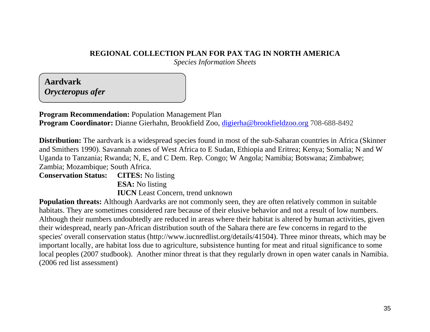# **REGIONAL COLLECTION PLAN FOR PAX TAG IN NORTH AMERICA**

*Species Information Sheets*

**Aardvark** *Orycteropus afer*

**Program Recommendation:** Population Management Plan **Program Coordinator:** Dianne Gierhahn, Brookfield Zoo, [digierha@brookfieldzoo.org](mailto:digierha@brookfieldzoo.org) 708-688-8492

**Distribution:** The aardvark is a widespread species found in most of the sub-Saharan countries in Africa (Skinner and Smithers 1990). Savannah zones of West Africa to E Sudan, Ethiopia and Eritrea; Kenya; Somalia; N and W Uganda to Tanzania; Rwanda; N, E, and C Dem. Rep. Congo; W Angola; Namibia; Botswana; Zimbabwe; Zambia; Mozambique; South Africa.

# **Conservation Status: CITES:** No listing **ESA:** No listing **IUCN** Least Concern, trend unknown

**Population threats:** Although Aardvarks are not commonly seen, they are often relatively common in suitable habitats. They are sometimes considered rare because of their elusive behavior and not a result of low numbers. Although their numbers undoubtedly are reduced in areas where their habitat is altered by human activities, given their widespread, nearly pan-African distribution south of the Sahara there are few concerns in regard to the species' overall conservation status (http://www.iucnredlist.org/details/41504). Three minor threats, which may be important locally, are habitat loss due to agriculture, subsistence hunting for meat and ritual significance to some local peoples (2007 studbook). Another minor threat is that they regularly drown in open water canals in Namibia. (2006 red list assessment)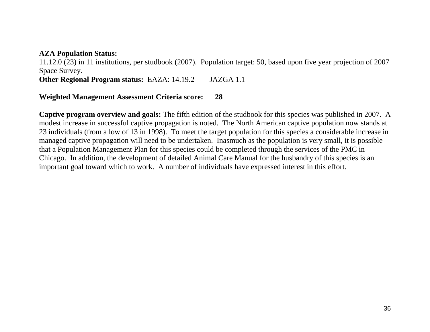## **AZA Population Status:**

11.12.0 (23) in 11 institutions, per studbook (2007). Population target: 50, based upon five year projection of 2007 Space Survey.

**Other Regional Program status:** EAZA: 14.19.2 JAZGA 1.1

## **Weighted Management Assessment Criteria score: 28**

**Captive program overview and goals:** The fifth edition of the studbook for this species was published in 2007. A modest increase in successful captive propagation is noted. The North American captive population now stands at 23 individuals (from a low of 13 in 1998). To meet the target population for this species a considerable increase in managed captive propagation will need to be undertaken. Inasmuch as the population is very small, it is possible that a Population Management Plan for this species could be completed through the services of the PMC in Chicago. In addition, the development of detailed Animal Care Manual for the husbandry of this species is an important goal toward which to work. A number of individuals have expressed interest in this effort.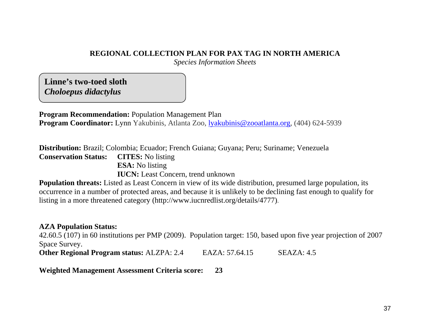# **REGIONAL COLLECTION PLAN FOR PAX TAG IN NORTH AMERICA**

*Species Information Sheets* 

**Linne's two-toed sloth** *Choloepus didactylus*

**Program Recommendation:** Population Management Plan **Program Coordinator:** Lynn Yakubinis, Atlanta Zoo, lyakubinis@zooatlanta.org, (404) 624-5939

**Distribution:** Brazil; Colombia; Ecuador; French Guiana; Guyana; Peru; Suriname; Venezuela

**Conservation Status: CITES:** No listing

**ESA:** No listing

**IUCN:** Least Concern, trend unknown

**Population threats:** Listed as Least Concern in view of its wide distribution, presumed large population, its occurrence in a number of protected areas, and because it is unlikely to be declining fast enough to qualify for listing in a more threatened category (http://www.iucnredlist.org/details/4777).

## **AZA Population Status:**

42.60.5 (107) in 60 institutions per PMP (2009). Population target: 150, based upon five year projection of 2007 Space Survey.

**Other Regional Program status:** ALZPA: 2.4 EAZA: 57.64.15 SEAZA: 4.5

**Weighted Management Assessment Criteria score: 23**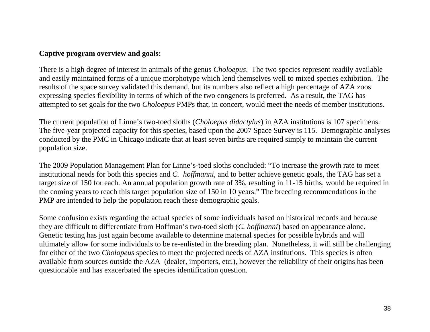## **Captive program overview and goals:**

There is a high degree of interest in animals of the genus *Choloepus*. The two species represent readily available and easily maintained forms of a unique morphotype which lend themselves well to mixed species exhibition. The results of the space survey validated this demand, but its numbers also reflect a high percentage of AZA zoos expressing species flexibility in terms of which of the two congeners is preferred. As a result, the TAG has attempted to set goals for the two *Choloepus* PMPs that, in concert, would meet the needs of member institutions.

The current population of Linne's two-toed sloths (*Choloepus didactylus*) in AZA institutions is 107 specimens. The five-year projected capacity for this species, based upon the 2007 Space Survey is 115. Demographic analyses conducted by the PMC in Chicago indicate that at least seven births are required simply to maintain the current population size.

The 2009 Population Management Plan for Linne's-toed sloths concluded: "To increase the growth rate to meet institutional needs for both this species and *C. hoffmanni*, and to better achieve genetic goals, the TAG has set a target size of 150 for each. An annual population growth rate of 3%, resulting in 11-15 births, would be required in the coming years to reach this target population size of 150 in 10 years." The breeding recommendations in the PMP are intended to help the population reach these demographic goals.

Some confusion exists regarding the actual species of some individuals based on historical records and because they are difficult to differentiate from Hoffman's two-toed sloth (*C. hoffmanni*) based on appearance alone. Genetic testing has just again become available to determine maternal species for possible hybrids and will ultimately allow for some individuals to be re-enlisted in the breeding plan. Nonetheless, it will still be challenging for either of the two *Cholopeus* species to meet the projected needs of AZA institutions. This species is often available from sources outside the AZA (dealer, importers, etc.), however the reliability of their origins has been questionable and has exacerbated the species identification question.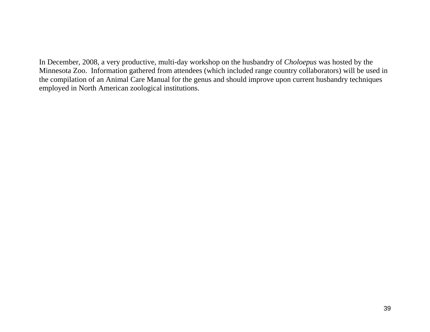In December, 2008, a very productive, multi-day workshop on the husbandry of *Choloepus* was hosted by the Minnesota Zoo. Information gathered from attendees (which included range country collaborators) will be used in the compilation of an Animal Care Manual for the genus and should improve upon current husbandry techniques employed in North American zoological institutions.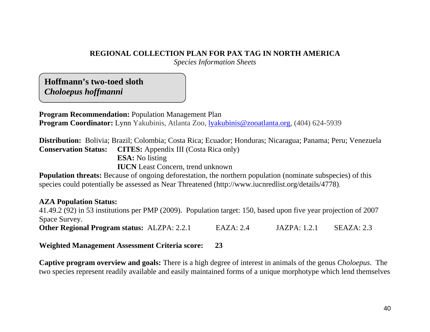# **REGIONAL COLLECTION PLAN FOR PAX TAG IN NORTH AMERICA**

*Species Information Sheets* 

**Hoffmann's two-toed sloth** *Choloepus hoffmanni*

**Program Recommendation:** Population Management Plan **Program Coordinator:** Lynn Yakubinis, Atlanta Zoo, lyakubinis@zooatlanta.org, (404) 624-5939

**Distribution:** Bolivia; Brazil; Colombia; Costa Rica; Ecuador; Honduras; Nicaragua; Panama; Peru; Venezuela **Conservation Status: CITES:** Appendix III (Costa Rica only) **ESA:** No listing **IUCN** Least Concern, trend unknown

**Population threats:** Because of ongoing deforestation, the northern population (nominate subspecies) of this species could potentially be assessed as Near Threatened (http://www.iucnredlist.org/details/4778).

# **AZA Population Status:**

41.49.2 (92) in 53 institutions per PMP (2009). Population target: 150, based upon five year projection of 2007 Space Survey. **Other Regional Program status:** ALZPA: 2.2.1 EAZA: 2.4 JAZPA: 1.2.1 SEAZA: 2.3

**Weighted Management Assessment Criteria score: 23** 

**Captive program overview and goals:** There is a high degree of interest in animals of the genus *Choloepus*. The two species represent readily available and easily maintained forms of a unique morphotype which lend themselves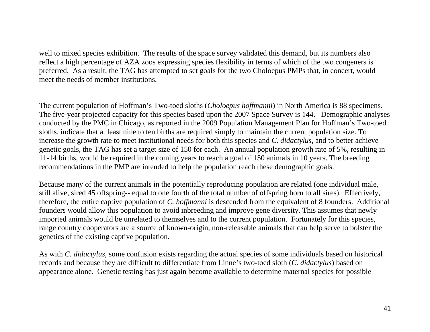well to mixed species exhibition. The results of the space survey validated this demand, but its numbers also reflect a high percentage of AZA zoos expressing species flexibility in terms of which of the two congeners is preferred. As a result, the TAG has attempted to set goals for the two Choloepus PMPs that, in concert, would meet the needs of member institutions.

The current population of Hoffman's Two-toed sloths (*Choloepus hoffmanni*) in North America is 88 specimens. The five-year projected capacity for this species based upon the 2007 Space Survey is 144. Demographic analyses conducted by the PMC in Chicago, as reported in the 2009 Population Management Plan for Hoffman's Two-toed sloths, indicate that at least nine to ten births are required simply to maintain the current population size. To increase the growth rate to meet institutional needs for both this species and *C. didactylus*, and to better achieve genetic goals, the TAG has set a target size of 150 for each. An annual population growth rate of 5%, resulting in 11-14 births, would be required in the coming years to reach a goal of 150 animals in 10 years. The breeding recommendations in the PMP are intended to help the population reach these demographic goals.

Because many of the current animals in the potentially reproducing population are related (one individual male, still alive, sired 45 offspring-- equal to one fourth of the total number of offspring born to all sires). Effectively, therefore, the entire captive population of *C. hoffmanni* is descended from the equivalent of 8 founders. Additional founders would allow this population to avoid inbreeding and improve gene diversity. This assumes that newly imported animals would be unrelated to themselves and to the current population. Fortunately for this species, range country cooperators are a source of known-origin, non-releasable animals that can help serve to bolster the genetics of the existing captive population.

As with *C. didactylus*, some confusion exists regarding the actual species of some individuals based on historical records and because they are difficult to differentiate from Linne's two-toed sloth (*C. didactylus*) based on appearance alone. Genetic testing has just again become available to determine maternal species for possible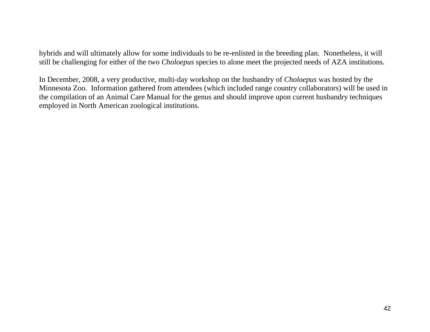hybrids and will ultimately allow for some individuals to be re-enlisted in the breeding plan. Nonetheless, it will still be challenging for either of the two *Choloepus* species to alone meet the projected needs of AZA institutions.

In December, 2008, a very productive, multi-day workshop on the husbandry of *Choloepus* was hosted by the Minnesota Zoo. Information gathered from attendees (which included range country collaborators) will be used in the compilation of an Animal Care Manual for the genus and should improve upon current husbandry techniques employed in North American zoological institutions.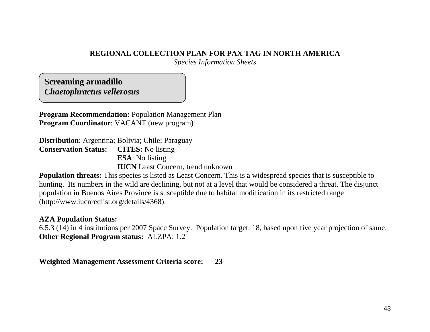# **REGIONAL COLLECTION PLAN FOR PAX TAG IN NORTH AMERICA**

*Species Information Sheets* 

**Screaming armadillo**  *Chaetophractus vellerosus*

**Program Recommendation:** Population Management Plan **Program Coordinator**: VACANT (new program)

**Distribution**: Argentina; Bolivia; Chile; Paraguay **Conservation Status: CITES:** No listing **ESA**: No listing **IUCN** Least Concern, trend unknown

**Population threats:** This species is listed as Least Concern. This is a widespread species that is susceptible to hunting. Its numbers in the wild are declining, but not at a level that would be considered a threat. The disjunct population in Buenos Aires Province is susceptible due to habitat modification in its restricted range (http://www.iucnredlist.org/details/4368).

## **AZA Population Status:**

6.5.3 (14) in 4 institutions per 2007 Space Survey. Population target: 18, based upon five year projection of same. **Other Regional Program status:** ALZPA: 1.2

**Weighted Management Assessment Criteria score: 23**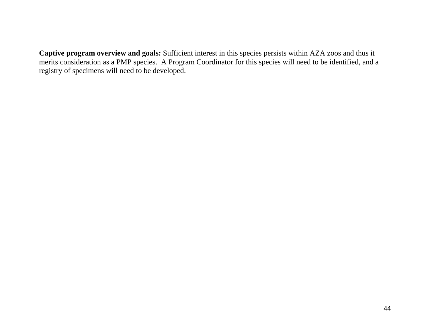**Captive program overview and goals:** Sufficient interest in this species persists within AZA zoos and thus it merits consideration as a PMP species. A Program Coordinator for this species will need to be identified, and a registry of specimens will need to be developed.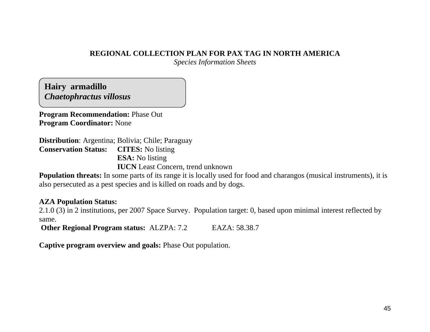# **REGIONAL COLLECTION PLAN FOR PAX TAG IN NORTH AMERICA**

*Species Information Sheets* 

**Hairy armadillo**  *Chaetophractus villosus*

**Program Recommendation:** Phase Out **Program Coordinator:** None

**Distribution**: Argentina; Bolivia; Chile; Paraguay **Conservation Status: CITES:** No listing **ESA:** No listing **IUCN** Least Concern, trend unknown

**Population threats:** In some parts of its range it is locally used for food and charangos (musical instruments), it is also persecuted as a pest species and is killed on roads and by dogs.

# **AZA Population Status:**

2.1.0 (3) in 2 institutions, per 2007 Space Survey. Population target: 0, based upon minimal interest reflected by same.

**Other Regional Program status:** ALZPA: 7.2 EAZA: 58.38.7

**Captive program overview and goals:** Phase Out population.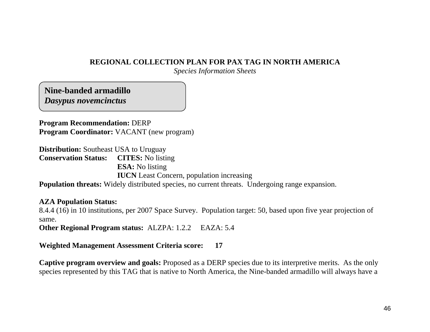## **REGIONAL COLLECTION PLAN FOR PAX TAG IN NORTH AMERICA**

*Species Information Sheets* 

**Nine-banded armadillo**  *Dasypus novemcinctus*

**Program Recommendation:** DERP **Program Coordinator:** VACANT (new program)

**Distribution:** Southeast USA to Uruguay **Conservation Status: CITES:** No listing **ESA:** No listing **IUCN** Least Concern, population increasing

**Population threats:** Widely distributed species, no current threats. Undergoing range expansion.

# **AZA Population Status:**

8.4.4 (16) in 10 institutions, per 2007 Space Survey. Population target: 50, based upon five year projection of same.

**Other Regional Program status:** ALZPA: 1.2.2 EAZA: 5.4

# **Weighted Management Assessment Criteria score: 17**

**Captive program overview and goals:** Proposed as a DERP species due to its interpretive merits. As the only species represented by this TAG that is native to North America, the Nine-banded armadillo will always have a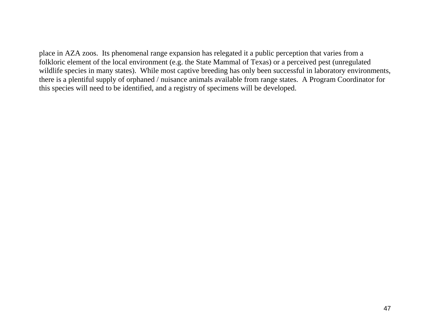place in AZA zoos. Its phenomenal range expansion has relegated it a public perception that varies from a folkloric element of the local environment (e.g. the State Mammal of Texas) or a perceived pest (unregulated wildlife species in many states). While most captive breeding has only been successful in laboratory environments, there is a plentiful supply of orphaned / nuisance animals available from range states. A Program Coordinator for this species will need to be identified, and a registry of specimens will be developed.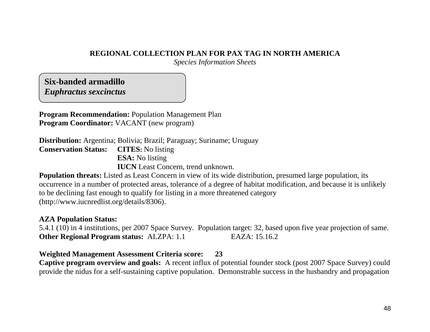# **REGIONAL COLLECTION PLAN FOR PAX TAG IN NORTH AMERICA**

*Species Information Sheets* 

**Six-banded armadillo**  *Euphractus sexcinctus*

**Program Recommendation:** Population Management Plan **Program Coordinator:** VACANT (new program)

**Distribution:** Argentina; Bolivia; Brazil; Paraguay; Suriname; Uruguay **Conservation Status: CITES:** No listing **ESA:** No listing **IUCN** Least Concern, trend unknown.

**Population threats:** Listed as Least Concern in view of its wide distribution, presumed large population, its occurrence in a number of protected areas, tolerance of a degree of habitat modification, and because it is unlikely to be declining fast enough to qualify for listing in a more threatened category (http://www.iucnredlist.org/details/8306).

## **AZA Population Status:**

5.4.1 (10) in 4 institutions, per 2007 Space Survey. Population target: 32, based upon five year projection of same. **Other Regional Program status: ALZPA: 1.1** EAZA: 15.16.2

# **Weighted Management Assessment Criteria score: 23**

**Captive program overview and goals:** A recent influx of potential founder stock (post 2007 Space Survey) could provide the nidus for a self-sustaining captive population. Demonstrable success in the husbandry and propagation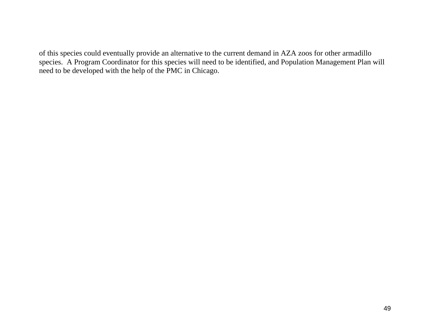of this species could eventually provide an alternative to the current demand in AZA zoos for other armadillo species. A Program Coordinator for this species will need to be identified, and Population Management Plan will need to be developed with the help of the PMC in Chicago.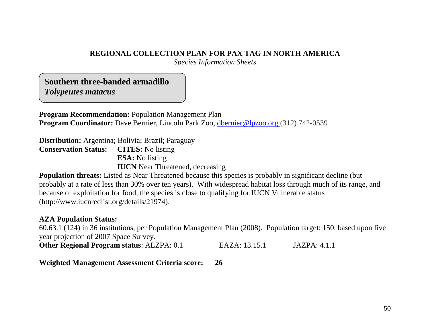# **REGIONAL COLLECTION PLAN FOR PAX TAG IN NORTH AMERICA**

*Species Information Sheets* 

**Southern three-banded armadillo**  *Tolypeutes matacus*

**Program Recommendation:** Population Management Plan **Program Coordinator:** Dave Bernier, Lincoln Park Zoo, [dbernier@lpzoo.org](mailto:dbernier@lpzoo.org) (312) 742-0539

**Distribution:** Argentina; Bolivia; Brazil; Paraguay **Conservation Status: CITES:** No listing **ESA:** No listing **IUCN** Near Threatened, decreasing

**Population threats:** Listed as Near Threatened because this species is probably in significant decline (but probably at a rate of less than 30% over ten years). With widespread habitat loss through much of its range, and because of exploitation for food, the species is close to qualifying for IUCN Vulnerable status (http://www.iucnredlist.org/details/21974).

# **AZA Population Status:**

60.63.1 (124) in 36 institutions, per Population Management Plan (2008). Population target: 150, based upon five year projection of 2007 Space Survey.

| <b>Other Regional Program status: ALZPA: 0.1</b> | EAZA: 13.15.1 | <b>JAZPA</b> : 4.1.1 |
|--------------------------------------------------|---------------|----------------------|
|--------------------------------------------------|---------------|----------------------|

**Weighted Management Assessment Criteria score: 26**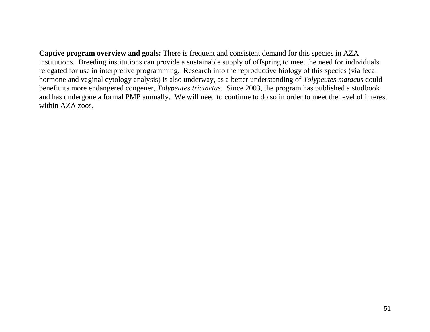**Captive program overview and goals:** There is frequent and consistent demand for this species in AZA institutions. Breeding institutions can provide a sustainable supply of offspring to meet the need for individuals relegated for use in interpretive programming. Research into the reproductive biology of this species (via fecal hormone and vaginal cytology analysis) is also underway, as a better understanding of *Tolypeutes matacus* could benefit its more endangered congener, *Tolypeutes tricinctus*. Since 2003, the program has published a studbook and has undergone a formal PMP annually. We will need to continue to do so in order to meet the level of interest within AZA zoos.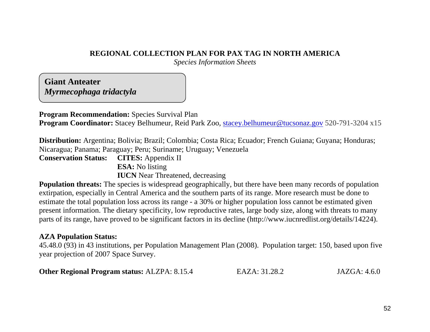# **REGIONAL COLLECTION PLAN FOR PAX TAG IN NORTH AMERICA**

*Species Information Sheets* 

**Giant Anteater**  *Myrmecophaga tridactyla*

**Program Recommendation:** Species Survival Plan

**Program Coordinator:** Stacey Belhumeur, Reid Park Zoo, [stacey.belhumeur@tucsonaz.gov](mailto:stacey.belhumeur@tucsonaz.gov) 520-791-3204 x15

**Distribution:** Argentina; Bolivia; Brazil; Colombia; Costa Rica; Ecuador; French Guiana; Guyana; Honduras; Nicaragua; Panama; Paraguay; Peru; Suriname; Uruguay; Venezuela

**Conservation Status: CITES:** Appendix II **ESA:** No listing

**IUCN** Near Threatened, decreasing

**Population threats:** The species is widespread geographically, but there have been many records of population extirpation, especially in Central America and the southern parts of its range. More research must be done to estimate the total population loss across its range - a 30% or higher population loss cannot be estimated given present information. The dietary specificity, low reproductive rates, large body size, along with threats to many parts of its range, have proved to be significant factors in its decline (http://www.iucnredlist.org/details/14224).

## **AZA Population Status:**

45.48.0 (93) in 43 institutions, per Population Management Plan (2008). Population target: 150, based upon five year projection of 2007 Space Survey.

| <b>Other Regional Program status: ALZPA: 8.15.4</b> | EAZA: 31.28.2 | JAZGA: 4.6.0 |
|-----------------------------------------------------|---------------|--------------|
|-----------------------------------------------------|---------------|--------------|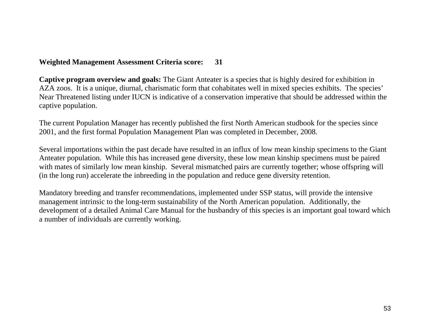# **Weighted Management Assessment Criteria score: 31**

**Captive program overview and goals:** The Giant Anteater is a species that is highly desired for exhibition in AZA zoos. It is a unique, diurnal, charismatic form that cohabitates well in mixed species exhibits. The species' Near Threatened listing under IUCN is indicative of a conservation imperative that should be addressed within the captive population.

The current Population Manager has recently published the first North American studbook for the species since 2001, and the first formal Population Management Plan was completed in December, 2008.

Several importations within the past decade have resulted in an influx of low mean kinship specimens to the Giant Anteater population. While this has increased gene diversity, these low mean kinship specimens must be paired with mates of similarly low mean kinship. Several mismatched pairs are currently together; whose offspring will (in the long run) accelerate the inbreeding in the population and reduce gene diversity retention.

Mandatory breeding and transfer recommendations, implemented under SSP status, will provide the intensive management intrinsic to the long-term sustainability of the North American population. Additionally, the development of a detailed Animal Care Manual for the husbandry of this species is an important goal toward which a number of individuals are currently working.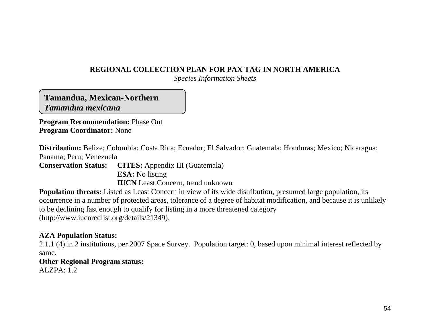# **REGIONAL COLLECTION PLAN FOR PAX TAG IN NORTH AMERICA**

*Species Information Sheets* 

**Tamandua, Mexican-Northern**  *Tamandua mexicana*

**Program Recommendation:** Phase Out **Program Coordinator:** None

**Distribution:** Belize; Colombia; Costa Rica; Ecuador; El Salvador; Guatemala; Honduras; Mexico; Nicaragua; Panama; Peru; Venezuela

**Conservation Status: CITES:** Appendix III (Guatemala) **ESA:** No listing **IUCN** Least Concern, trend unknown

**Population threats:** Listed as Least Concern in view of its wide distribution, presumed large population, its occurrence in a number of protected areas, tolerance of a degree of habitat modification, and because it is unlikely to be declining fast enough to qualify for listing in a more threatened category (http://www.iucnredlist.org/details/21349).

# **AZA Population Status:**

2.1.1 (4) in 2 institutions, per 2007 Space Survey. Population target: 0, based upon minimal interest reflected by same.

# **Other Regional Program status:**

 $AIZPA: 1.2$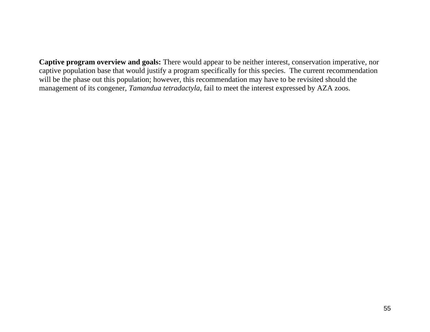**Captive program overview and goals:** There would appear to be neither interest, conservation imperative, nor captive population base that would justify a program specifically for this species. The current recommendation will be the phase out this population; however, this recommendation may have to be revisited should the management of its congener, *Tamandua tetradactyla*, fail to meet the interest expressed by AZA zoos.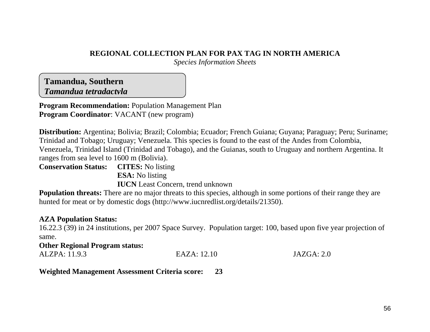# **REGIONAL COLLECTION PLAN FOR PAX TAG IN NORTH AMERICA**

*Species Information Sheets* 

**Tamandua, Southern**  *Tamandua tetradactyla*

**Program Recommendation:** Population Management Plan **Program Coordinator**: VACANT (new program)

**Distribution:** Argentina; Bolivia; Brazil; Colombia; Ecuador; French Guiana; Guyana; Paraguay; Peru; Suriname; Trinidad and Tobago; Uruguay; Venezuela. This species is found to the east of the Andes from Colombia, Venezuela, Trinidad Island (Trinidad and Tobago), and the Guianas, south to Uruguay and northern Argentina. It ranges from sea level to 1600 m (Bolivia).

**Conservation Status: CITES:** No listing **ESA:** No listing **IUCN** Least Concern, trend unknown

**Population threats:** There are no major threats to this species, although in some portions of their range they are hunted for meat or by domestic dogs (http://www.iucnredlist.org/details/21350).

# **AZA Population Status:**

16.22.3 (39) in 24 institutions, per 2007 Space Survey. Population target: 100, based upon five year projection of same.

# **Other Regional Program status:**  ALZPA: 11.9.3 EAZA: 12.10 JAZGA: 2.0

**Weighted Management Assessment Criteria score: 23**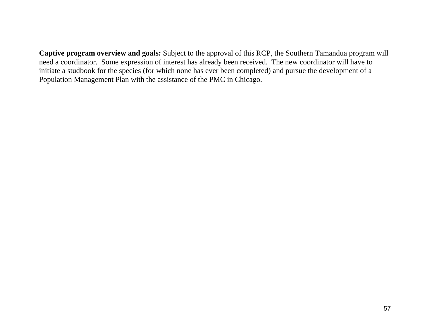**Captive program overview and goals:** Subject to the approval of this RCP, the Southern Tamandua program will need a coordinator. Some expression of interest has already been received. The new coordinator will have to initiate a studbook for the species (for which none has ever been completed) and pursue the development of a Population Management Plan with the assistance of the PMC in Chicago.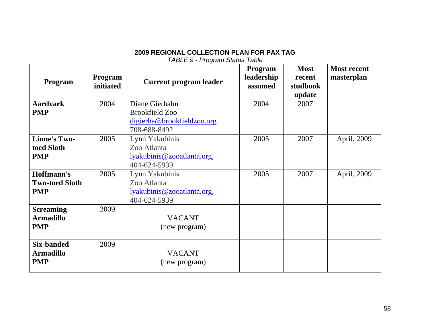| <b>TABLE 9 - Program Status Table</b> |  |
|---------------------------------------|--|
|                                       |  |

| <b>Program</b>        | Program<br>initiated | <b>Current program leader</b> | <b>Program</b><br>leadership<br>assumed | <b>Most</b><br>recent<br>studbook<br>update | <b>Most recent</b><br>masterplan |
|-----------------------|----------------------|-------------------------------|-----------------------------------------|---------------------------------------------|----------------------------------|
| <b>Aardvark</b>       | 2004                 | Diane Gierhahn                | 2004                                    | 2007                                        |                                  |
| <b>PMP</b>            |                      | <b>Brookfield Zoo</b>         |                                         |                                             |                                  |
|                       |                      | digierha@brookfieldzoo.org    |                                         |                                             |                                  |
|                       |                      | 708-688-8492                  |                                         |                                             |                                  |
| <b>Linne's Two-</b>   | 2005                 | Lynn Yakubinis                | 2005                                    | 2007                                        | April, 2009                      |
| toed Sloth            |                      | Zoo Atlanta                   |                                         |                                             |                                  |
| <b>PMP</b>            |                      | lyakubinis@zooatlanta.org,    |                                         |                                             |                                  |
|                       |                      | 404-624-5939                  |                                         |                                             |                                  |
| Hoffmann's            | 2005                 | Lynn Yakubinis                | 2005                                    | 2007                                        | April, 2009                      |
| <b>Two-toed Sloth</b> |                      | Zoo Atlanta                   |                                         |                                             |                                  |
| <b>PMP</b>            |                      | lyakubinis@zooatlanta.org,    |                                         |                                             |                                  |
|                       |                      | 404-624-5939                  |                                         |                                             |                                  |
| <b>Screaming</b>      | 2009                 |                               |                                         |                                             |                                  |
| <b>Armadillo</b>      |                      | <b>VACANT</b>                 |                                         |                                             |                                  |
| <b>PMP</b>            |                      | (new program)                 |                                         |                                             |                                  |
|                       |                      |                               |                                         |                                             |                                  |
| <b>Six-banded</b>     | 2009                 |                               |                                         |                                             |                                  |
| <b>Armadillo</b>      |                      | <b>VACANT</b>                 |                                         |                                             |                                  |
| <b>PMP</b>            |                      | (new program)                 |                                         |                                             |                                  |
|                       |                      |                               |                                         |                                             |                                  |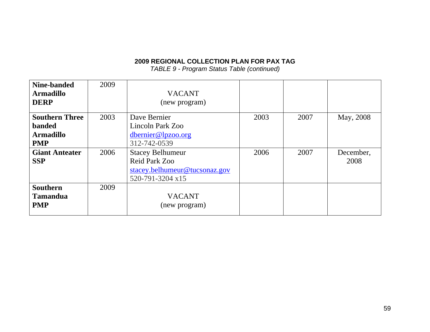*TABLE 9 - Program Status Table (continued)*

| Nine-banded           | 2009 |                               |      |      |           |
|-----------------------|------|-------------------------------|------|------|-----------|
| <b>Armadillo</b>      |      | <b>VACANT</b>                 |      |      |           |
| <b>DERP</b>           |      | (new program)                 |      |      |           |
| <b>Southern Three</b> | 2003 | Dave Bernier                  | 2003 | 2007 | May, 2008 |
| <b>banded</b>         |      | Lincoln Park Zoo              |      |      |           |
| <b>Armadillo</b>      |      | dbernier@lpzoo.org            |      |      |           |
| <b>PMP</b>            |      | 312-742-0539                  |      |      |           |
| <b>Giant Anteater</b> | 2006 | <b>Stacey Belhumeur</b>       | 2006 | 2007 | December, |
| <b>SSP</b>            |      | Reid Park Zoo                 |      |      | 2008      |
|                       |      | stacey.belhumeur@tucsonaz.gov |      |      |           |
|                       |      | 520-791-3204 x15              |      |      |           |
| <b>Southern</b>       | 2009 |                               |      |      |           |
| <b>Tamandua</b>       |      | <b>VACANT</b>                 |      |      |           |
| <b>PMP</b>            |      | (new program)                 |      |      |           |
|                       |      |                               |      |      |           |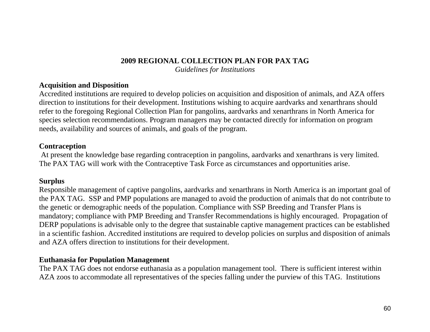*Guidelines for Institutions* 

## **Acquisition and Disposition**

Accredited institutions are required to develop policies on acquisition and disposition of animals, and AZA offers direction to institutions for their development. Institutions wishing to acquire aardvarks and xenarthrans should refer to the foregoing Regional Collection Plan for pangolins, aardvarks and xenarthrans in North America for species selection recommendations. Program managers may be contacted directly for information on program needs, availability and sources of animals, and goals of the program.

## **Contraception**

 At present the knowledge base regarding contraception in pangolins, aardvarks and xenarthrans is very limited. The PAX TAG will work with the Contraceptive Task Force as circumstances and opportunities arise.

# **Surplus**

Responsible management of captive pangolins, aardvarks and xenarthrans in North America is an important goal of the PAX TAG. SSP and PMP populations are managed to avoid the production of animals that do not contribute to the genetic or demographic needs of the population. Compliance with SSP Breeding and Transfer Plans is mandatory; compliance with PMP Breeding and Transfer Recommendations is highly encouraged. Propagation of DERP populations is advisable only to the degree that sustainable captive management practices can be established in a scientific fashion. Accredited institutions are required to develop policies on surplus and disposition of animals and AZA offers direction to institutions for their development.

## **Euthanasia for Population Management**

The PAX TAG does not endorse euthanasia as a population management tool. There is sufficient interest within AZA zoos to accommodate all representatives of the species falling under the purview of this TAG. Institutions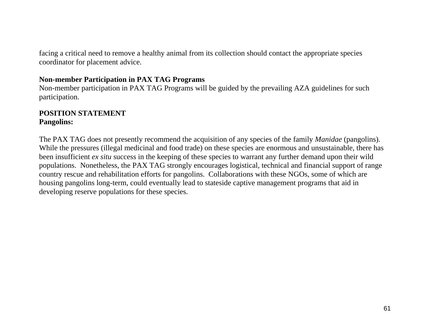facing a critical need to remove a healthy animal from its collection should contact the appropriate species coordinator for placement advice.

# **Non-member Participation in PAX TAG Programs**

Non-member participation in PAX TAG Programs will be guided by the prevailing AZA guidelines for such participation.

## **POSITION STATEMENTPangolins:**

The PAX TAG does not presently recommend the acquisition of any species of the family *Manidae* (pangolins). While the pressures (illegal medicinal and food trade) on these species are enormous and unsustainable, there has been insufficient *ex situ* success in the keeping of these species to warrant any further demand upon their wild populations. Nonetheless, the PAX TAG strongly encourages logistical, technical and financial support of range country rescue and rehabilitation efforts for pangolins. Collaborations with these NGOs, some of which are housing pangolins long-term, could eventually lead to stateside captive management programs that aid in developing reserve populations for these species.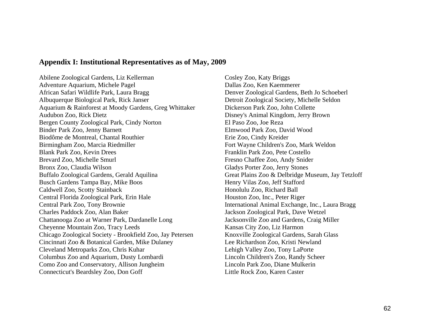#### **Appendix I: Institutional Representatives as of May, 2009**

Abilene Zoological Gardens, Liz Kellerman Cosley Zoo, Katy Briggs Adventure Aquarium, Michele Pagel Dallas Zoo, Ken Kaemmerer African Safari Wildlife Park, Laura Bragg Denver Zoological Gardens, Beth Jo Schoeberl Albuquerque Biological Park, Rick Janser Detroit Zoological Society, Michelle Seldon Aquarium & Rainforest at Moody Gardens, Greg Whittaker Dickerson Park Zoo, John Collette Audubon Zoo, Rick Dietz Disney's Animal Kingdom, Jerry Brown Bergen County Zoological Park, Cindy Norton El Paso Zoo, Joe Reza Binder Park Zoo, Jenny Barnett Elmwood Park Zoo, David Wood Biodôme de Montreal, Chantal Routhier Erie Zoo, Cindy Kreider Birmingham Zoo, Marcia Riedmiller Fort Wayne Children's Zoo, Mark Weldon Blank Park Zoo, Kevin Drees Franklin Park Zoo, Pete Costello Brevard Zoo, Michelle Smurl Fresno Chaffee Zoo, Andy Snider Bronx Zoo, Claudia Wilson Gladys Porter Zoo, Jerry Stones Buffalo Zoological Gardens, Gerald Aquilina Great Plains Zoo & Delbridge Museum, Jay Tetzloff Busch Gardens Tampa Bay, Mike Boos Henry Vilas Zoo, Jeff Stafford Caldwell Zoo, Scotty Stainback Honolulu Zoo, Richard Ball Central Florida Zoological Park, Erin Hale Houston Zoo, Inc., Peter Riger Central Park Zoo, Tony Brownie International Animal Exchange, Inc., Laura Bragg Charles Paddock Zoo, Alan Baker Jackson Zoological Park, Dave Wetzel Chattanooga Zoo at Warner Park, Dardanelle Long Jacksonville Zoo and Gardens, Craig Miller Cheyenne Mountain Zoo, Tracy Leeds Kansas City Zoo, Liz Harmon Chicago Zoological Society - Brookfield Zoo, Jay Petersen Knoxville Zoological Gardens, Sarah Glass Cincinnati Zoo & Botanical Garden, Mike Dulaney Lee Richardson Zoo, Kristi Newland Cleveland Metroparks Zoo, Chris Kuhar Lehigh Valley Zoo, Tony LaPorte Columbus Zoo and Aquarium, Dusty Lombardi Lincoln Children's Zoo, Randy Scheer Como Zoo and Conservatory, Allison Jungheim Lincoln Park Zoo, Diane Mulkerin Connecticut's Beardsley Zoo, Don Goff Little Rock Zoo, Karen Caster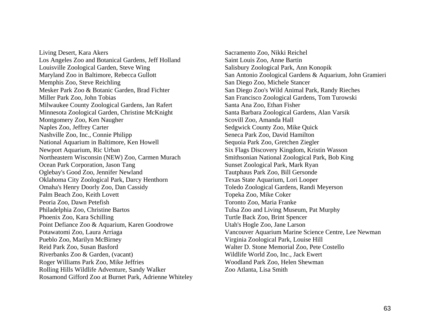Living Desert, Kara Akers Sacramento Zoo, Nikki Reichel Los Angeles Zoo and Botanical Gardens, Jeff Holland Saint Louis Zoo, Anne Bartin Louisville Zoological Garden, Steve Wing Salisbury Zoological Park, Ann Konopik Memphis Zoo, Steve Reichling San Diego Zoo, Michele Stancer Mesker Park Zoo & Botanic Garden, Brad Fichter San Diego Zoo's Wild Animal Park, Randy Rieches Miller Park Zoo, John Tobias San Francisco Zoological Gardens, Tom Turowski Milwaukee County Zoological Gardens, Jan Rafert Santa Ana Zoo, Ethan Fisher Minnesota Zoological Garden, Christine McKnight Santa Barbara Zoological Gardens, Alan Varsik Montgomery Zoo, Ken Naugher Scovill Zoo, Amanda Hall Naples Zoo, Jeffrey Carter Sedgwick County Zoo, Mike Quick Nashville Zoo, Inc., Connie Philipp Seneca Park Zoo, David Hamilton National Aquarium in Baltimore, Ken Howell Sequoia Park Zoo, Gretchen Ziegler Newport Aquarium, Ric Urban Six Flags Discovery Kingdom, Kristin Wasson Northeastern Wisconsin (NEW) Zoo, Carmen Murach Smithsonian National Zoological Park, Bob King Ocean Park Corporation, Jason Tang Sunset Zoological Park, Mark Ryan Oglebay's Good Zoo, Jennifer Newland Tautphaus Park Zoo, Bill Gersonde Oklahoma City Zoological Park, Darcy Henthorn Texas State Aquarium, Lori Looper Omaha's Henry Doorly Zoo, Dan Cassidy Toledo Zoological Gardens, Randi Meyerson Palm Beach Zoo, Keith Lovett Topeka Zoo, Mike Coker Peoria Zoo, Dawn Petefish Toronto Zoo, Maria Franke Philadelphia Zoo, Christine Bartos Tulsa Zoo and Living Museum, Pat Murphy Phoenix Zoo, Kara Schilling Turtle Back Zoo, Brint Spencer Point Defiance Zoo & Aquarium, Karen Goodrowe Utah's Hogle Zoo, Jane Larson Pueblo Zoo, Marilyn McBirney Virginia Zoological Park, Louise Hill Reid Park Zoo, Susan Basford Walter D. Stone Memorial Zoo, Pete Costello Riverbanks Zoo & Garden, (vacant) Wildlife World Zoo, Inc., Jack Ewert Roger Williams Park Zoo, Mike Jeffries Woodland Park Zoo, Helen Shewman Rolling Hills Wildlife Adventure, Sandy Walker Zoo Atlanta, Lisa Smith Rosamond Gifford Zoo at Burnet Park, Adrienne Whiteley

Maryland Zoo in Baltimore, Rebecca Gullott San Antonio Zoological Gardens & Aquarium, John Gramieri Potawatomi Zoo, Laura Arriaga Vancouver Aquarium Marine Science Centre, Lee Newman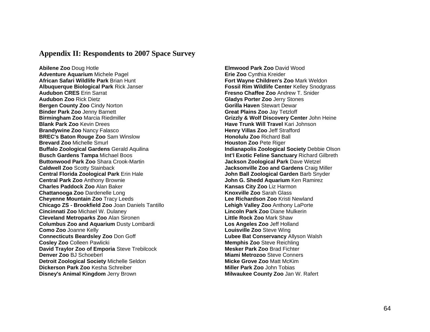#### **Appendix II: Respondents to 2007 Space Survey**

**Abilene Zoo** Doug Hotle **Elmwood Park Zoo** David Wood **Adventure Aquarium** Michele Pagel **Erie Zoo** Cynthia Kreider **African Safari Wildlife Park** Brian Hunt **Fort Wayne Children's Zoo** Mark Weldon **Albuquerque Biological Park** Rick Janser **Fossil Rim Wildlife Center** Kelley Snodgrass **Audubon CRES** Erin Sarrat **Fresno Chaffee Zoo** Andrew T. Snider **Audubon Zoo** Rick Dietz **Gladys Porter Zoo** Jerry Stones **Bergen County Zoo Cindy Norton <b>Gorilla Haven** Stewart Dewart Dewart Dewart Dewart Dewart Dewart Dewart Dewart Dewart Dewart Dewart Dewart Dewart Dewart Dewart Dewart Dewart Dewart Dewart Dewart Dewart Dewart Dewart Dewar **Binder Park Zoo** Jenny Barnett **Great Plains Zoo** Jay Tetzloff **Birmingham Zoo** Marcia Riedmiller **Grizzly & Wolf Discovery Center** John Heine **Blank Park Zoo** Kevin Drees **Have Trunk Will Travel** Kari Johnson **Brandywine Zoo Nancy Falasco <b>Henry Villas Zoo** Jeff Strafford **BREC's Baton Rouge Zoo Sam Winslow <b>Honolulu Zoo Richard Ball Honolulu Zoo Richard Ball Brevard Zoo Michelle Smurl <b>Houston Zoo Pete Riger Houston Zoo Pete Riger Buffalo Zoological Gardens** Gerald Aquilina **Indianapolis Zoological Society** Debbie Olson **Busch Gardens Tampa** Michael Boos **Int'l Exotic Feline Sanctuary** Richard Gilbreth **Buttonwood Park Zoo** Shara Crook-Martin **Jackson Zoological Park** Dave Wetzel **Caldwell Zoo** Scotty Stainback **Jacksonville Zoo and Gardens** Craig Miller **Central Florida Zoological Park** Erin Hale **John Ball Zoological Garden** Barb Snyder **Central Park Zoo** Anthony Brownie **John G. Shedd Aquarium** Ken Ramirez **Charles Paddock Zoo** Alan Baker **Kansas City Zoo Liz Harmon**<br> **Chattanooga Zoo** Dardenelle Long **Khattanooga Zoo Dardenelle Long Chattanooga Zoo Dardenelle Long Cheyenne Mountain Zoo** Tracy Leeds **Lee Richardson Zoo** Kristi Newland **Chicago ZS - Brookfield Zoo** Joan Daniels Tantillo **Lehigh Valley Zoo** Anthony LaPorte **Cincinnati Zoo** Michael W. Dulaney **Lincoln Park Zoo** Diane Mulkerin **Cleveland Metroparks Zoo** Alan Sironen **Little Rock Zoo** Mark Shaw **Columbus Zoo and Aquarium** Dusty Lombardi **Los Angeles Zoo** Jeff Holland **Como Zoo** Joanne Kelly **Louisville Zoo** Steve Wing **Connecticuts Beardsley Zoo Don Goff <b>Lubee Bat Conservancy** Allyson Walsh **Cosley Zoo Colleen Pawlicki <b>Memphis 200** Steve Reichling **David Traylor Zoo of Emporia** Steve Trebilcock **Mesker Park Zoo Brad Fichter Denver Zoo** BJ Schoeberl **Miami Metrozoo** Steve Conners **Detroit Zoological Society** Michelle Seldon **Micke Grove Zoo** Matt McKim **Dickerson Park Zoo** Kesha Schreiber **Miller Park Zoo** John Tobias **Disney's Animal Kingdom Jerry Brown <b>Milwaukee County Zoo Jan W. Rafert**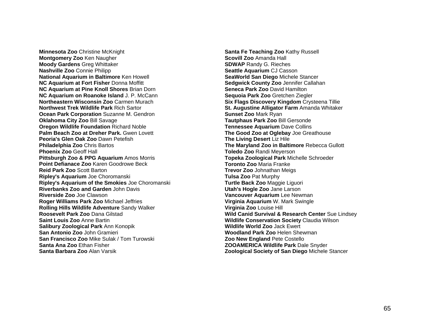**Minnesota Zoo** Christine McKnight **Santa Fe Teaching Zoo** Kathy Russell **Montgomery Zoo Ken Naugher <b>Scovill Zoo Amanda Hall Scovill Zoo Amanda Hall Moody Gardens** Greg Whittaker **SDWAP SDWAP** Randy G. Rieches **Nashville Zoo** Connie Philipp **Seattle Aquarium CJ Casson National Aquarium in Baltimore** Ken Howell **SeaWorld San Diego** Michele Stancer **NC Aquarium at Fort Fisher Donna Moffitt Sedgwick County Zoo Jennifer Callahan NC Aquarium at Pine Knoll Shores Brian Dorn <b>Seneca Park Zoo David Hamilton NC Aquarium at Pine Knoll Shores** Brian Dorn **NC Aquarium on Roanoke Island J. P. McCann <b>Sequoia Park Zoo** Gretchen Ziegler **Northeastern Wisconsin Zoo** Carmen Murach **Six Flags Discovery Kingdom** Crysteena Tillie **Northwest Trek Wildlife Park** Rich Sartor **St. Augustine Alligator Farm** Amanda Whitaker **Ocean Park Corporation** Suzanne M. Gendron **Sunset Zoo Mark Ryan Sunset Zoo Mark Ryan Oklahoma City Zoo** Bill Savage **Tautphaus Park Zoo** Bill Gersonde **Oregon Wildlife Foundation** Richard Noble **Tennessee Aquarium** Dave Collins **Palm Beach Zoo at Dreher Park.** Gwen Lovett **The Good Zoo at Oglebay** Joe Greathouse **Peoria's Glen Oak Zoo** Dawn Petefish **The Living Desert Liz Hile The Living Desert** Liz Hile **Philadelphia Zoo** Chris Bartos **The Maryland Zoo in Baltimore** Rebecca Gullott **Phoenix Zoo** Geoff Hall **Toledo Zoo** Randi Meyerson **Pittsburgh Zoo & PPG Aquarium** Amos Morris **Topeka Zoological Park** Michelle Schroeder **Point Defianace Zoo Karen Goodrowe Beck <b>Toronto Zoo Maria Franke Reid Park Zoo** Scott Barton **Trevor Zoo Johnathan Meigs Trevor Zoo Johnathan Meigs Ripley's Aquarium** Joe Choromanski **Tulsa Zoo** Pat Murphy **Ripley's Aquarium of the Smokies** Joe Choromanski **Turtle Back Zoo** Maggie Liquori **Riverbanks Zoo and Garden** John Davis **Utah's Hogle Zoo** Jane Larson **Riverside Zoo** Joe Clawson **Vancouver Aquarium** Lee Newman **Roger Williams Park Zoo** Michael Jeffries **Virginia Aquarium** W. Mark Swingle **Rolling Hills Wildlife Adventure** Sandy Walker **Virginia Zoo** Louise Hill **Roosevelt Park Zoo** Dana Gilstad **Wild Canid Survival & Research Center** Sue Lindsey **Saint Louis Zoo** Anne Bartin **Wildlife Conservation Society** Claudia Wilson **Salibury Zoological Park** Ann Konopik **Wildlife World Zoo** Jack Ewert **San Antonio Zoo** John Gramieri **Woodland Park Zoo** Helen Shewman **San Francisco Zoo** Mike Sulak / Tom Turowski **Zoo New England** Pete Costello **Santa Ana Zoo** Ethan Fisher **ZOOAMERICA Wildlife Park** Dale Snyder **Santa Barbara Zoo** Alan Varsik **Land Company and Zoological Society of San Diego Michele Stancer**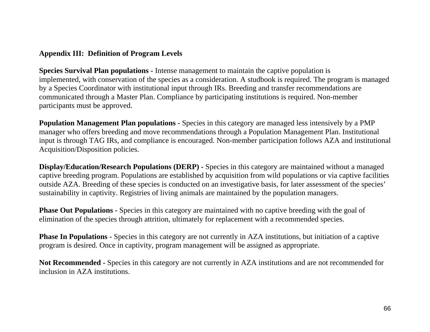# **Appendix III: Definition of Program Levels**

**Species Survival Plan populations -** Intense management to maintain the captive population is implemented, with conservation of the species as a consideration. A studbook is required. The program is managed by a Species Coordinator with institutional input through IRs. Breeding and transfer recommendations are communicated through a Master Plan. Compliance by participating institutions is required. Non-member participants must be approved.

**Population Management Plan populations -** Species in this category are managed less intensively by a PMP manager who offers breeding and move recommendations through a Population Management Plan. Institutional input is through TAG IRs, and compliance is encouraged. Non-member participation follows AZA and institutional Acquisition/Disposition policies.

**Display/Education/Research Populations (DERP) -** Species in this category are maintained without a managed captive breeding program. Populations are established by acquisition from wild populations or via captive facilities outside AZA. Breeding of these species is conducted on an investigative basis, for later assessment of the species' sustainability in captivity. Registries of living animals are maintained by the population managers.

**Phase Out Populations -** Species in this category are maintained with no captive breeding with the goal of elimination of the species through attrition, ultimately for replacement with a recommended species.

**Phase In Populations -** Species in this category are not currently in AZA institutions, but initiation of a captive program is desired. Once in captivity, program management will be assigned as appropriate.

**Not Recommended -** Species in this category are not currently in AZA institutions and are not recommended for inclusion in AZA institutions.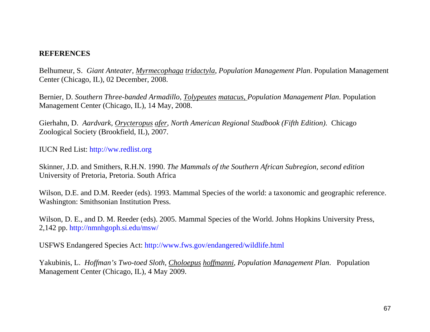# **REFERENCES**

Belhumeur, S. *Giant Anteater, Myrmecophaga tridactyla, Population Management Plan*. Population Management Center (Chicago, IL), 02 December, 2008.

Bernier, D. *Southern Three-banded Armadillo, Tolypeutes matacus, Population Management Plan*. Population Management Center (Chicago, IL), 14 May, 2008.

Gierhahn, D. *Aardvark, Orycteropus afer, North American Regional Studbook (Fifth Edition).* Chicago Zoological Society (Brookfield, IL), 2007.

IUCN Red List: [http://ww.redlist.org](http://ww.redlist.org/)

Skinner, J.D. and Smithers, R.H.N. 1990. *The Mammals of the Southern African Subregion, second edition* University of Pretoria, Pretoria. South Africa

Wilson, D.E. and D.M. Reeder (eds). 1993. Mammal Species of the world: a taxonomic and geographic reference. Washington: Smithsonian Institution Press.

Wilson, D. E., and D. M. Reeder (eds). 2005. Mammal Species of the World. Johns Hopkins University Press, 2,142 pp. <http://nmnhgoph.si.edu/msw/>

USFWS Endangered Species Act:<http://www.fws.gov/endangered/wildlife.html>

Yakubinis, L. *Hoffman's Two-toed Sloth, Choloepus hoffmanni, Population Management Plan*. Population Management Center (Chicago, IL), 4 May 2009.